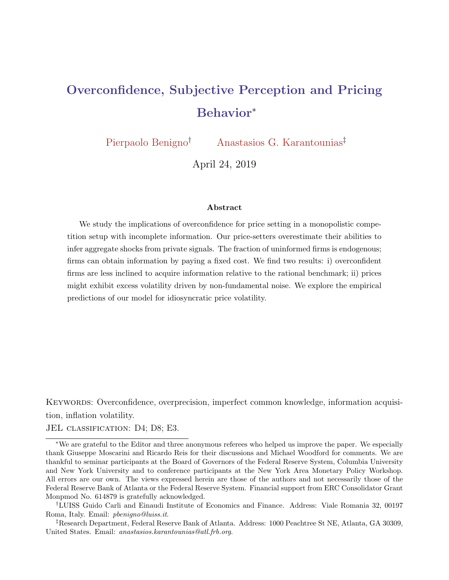# Overconfidence, Subjective Perception and Pricing Behavior<sup>∗</sup>

Pierpaolo Benigno† Anastasios G. Karantounias‡

April 24, 2019

#### Abstract

We study the implications of overconfidence for price setting in a monopolistic competition setup with incomplete information. Our price-setters overestimate their abilities to infer aggregate shocks from private signals. The fraction of uninformed firms is endogenous; firms can obtain information by paying a fixed cost. We find two results: i) overconfident firms are less inclined to acquire information relative to the rational benchmark; ii) prices might exhibit excess volatility driven by non-fundamental noise. We explore the empirical predictions of our model for idiosyncratic price volatility.

KEYWORDS: Overconfidence, overprecision, imperfect common knowledge, information acquisition, inflation volatility.

JEL classification: D4; D8; E3.

<sup>∗</sup>We are grateful to the Editor and three anonymous referees who helped us improve the paper. We especially thank Giuseppe Moscarini and Ricardo Reis for their discussions and Michael Woodford for comments. We are thankful to seminar participants at the Board of Governors of the Federal Reserve System, Columbia University and New York University and to conference participants at the New York Area Monetary Policy Workshop. All errors are our own. The views expressed herein are those of the authors and not necessarily those of the Federal Reserve Bank of Atlanta or the Federal Reserve System. Financial support from ERC Consolidator Grant Monpmod No. 614879 is gratefully acknowledged.

<sup>†</sup>LUISS Guido Carli and Einaudi Institute of Economics and Finance. Address: Viale Romania 32, 00197 Roma, Italy. Email: pbenigno@luiss.it.

<sup>‡</sup>Research Department, Federal Reserve Bank of Atlanta. Address: 1000 Peachtree St NE, Atlanta, GA 30309, United States. Email: anastasios.karantounias@atl.frb.org.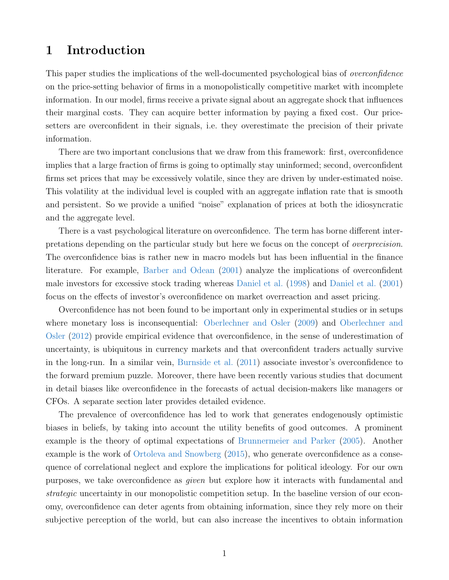# 1 Introduction

This paper studies the implications of the well-documented psychological bias of *overconfidence* on the price-setting behavior of firms in a monopolistically competitive market with incomplete information. In our model, firms receive a private signal about an aggregate shock that influences their marginal costs. They can acquire better information by paying a fixed cost. Our pricesetters are overconfident in their signals, i.e. they overestimate the precision of their private information.

There are two important conclusions that we draw from this framework: first, overconfidence implies that a large fraction of firms is going to optimally stay uninformed; second, overconfident firms set prices that may be excessively volatile, since they are driven by under-estimated noise. This volatility at the individual level is coupled with an aggregate inflation rate that is smooth and persistent. So we provide a unified "noise" explanation of prices at both the idiosyncratic and the aggregate level.

There is a vast psychological literature on overconfidence. The term has borne different interpretations depending on the particular study but here we focus on the concept of overprecision. The overconfidence bias is rather new in macro models but has been influential in the finance literature. For example, [Barber and Odean](#page-45-0) [\(2001\)](#page-45-0) analyze the implications of overconfident male investors for excessive stock trading whereas [Daniel et al.](#page-46-0) [\(1998\)](#page-46-0) and [Daniel et al.](#page-46-1) [\(2001\)](#page-46-1) focus on the effects of investor's overconfidence on market overreaction and asset pricing.

Overconfidence has not been found to be important only in experimental studies or in setups where monetary loss is inconsequential: [Oberlechner and Osler](#page-48-0) [\(2009\)](#page-48-0) and [Oberlechner and](#page-48-1) [Osler](#page-48-1) [\(2012\)](#page-48-1) provide empirical evidence that overconfidence, in the sense of underestimation of uncertainty, is ubiquitous in currency markets and that overconfident traders actually survive in the long-run. In a similar vein, [Burnside et al.](#page-46-2) [\(2011\)](#page-46-2) associate investor's overconfidence to the forward premium puzzle. Moreover, there have been recently various studies that document in detail biases like overconfidence in the forecasts of actual decision-makers like managers or CFOs. A separate section later provides detailed evidence.

The prevalence of overconfidence has led to work that generates endogenously optimistic biases in beliefs, by taking into account the utility benefits of good outcomes. A prominent example is the theory of optimal expectations of [Brunnermeier and Parker](#page-46-3) [\(2005\)](#page-46-3). Another example is the work of [Ortoleva and Snowberg](#page-48-2) [\(2015\)](#page-48-2), who generate overconfidence as a consequence of correlational neglect and explore the implications for political ideology. For our own purposes, we take overconfidence as given but explore how it interacts with fundamental and strategic uncertainty in our monopolistic competition setup. In the baseline version of our economy, overconfidence can deter agents from obtaining information, since they rely more on their subjective perception of the world, but can also increase the incentives to obtain information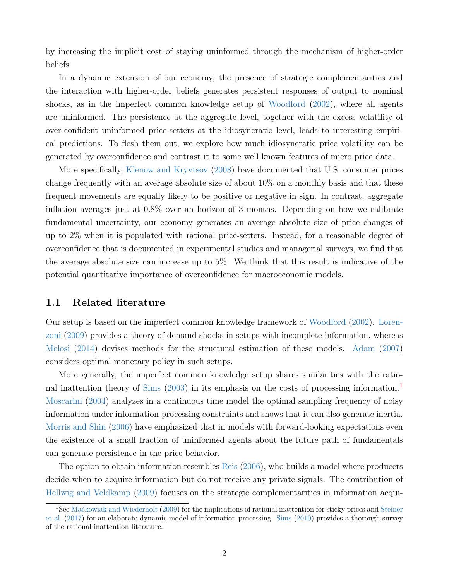by increasing the implicit cost of staying uninformed through the mechanism of higher-order beliefs.

In a dynamic extension of our economy, the presence of strategic complementarities and the interaction with higher-order beliefs generates persistent responses of output to nominal shocks, as in the imperfect common knowledge setup of [Woodford](#page-48-3) [\(2002\)](#page-48-3), where all agents are uninformed. The persistence at the aggregate level, together with the excess volatility of over-confident uninformed price-setters at the idiosyncratic level, leads to interesting empirical predictions. To flesh them out, we explore how much idiosyncratic price volatility can be generated by overconfidence and contrast it to some well known features of micro price data.

More specifically, [Klenow and Kryvtsov](#page-47-0) [\(2008\)](#page-47-0) have documented that U.S. consumer prices change frequently with an average absolute size of about 10% on a monthly basis and that these frequent movements are equally likely to be positive or negative in sign. In contrast, aggregate inflation averages just at 0.8% over an horizon of 3 months. Depending on how we calibrate fundamental uncertainty, our economy generates an average absolute size of price changes of up to 2% when it is populated with rational price-setters. Instead, for a reasonable degree of overconfidence that is documented in experimental studies and managerial surveys, we find that the average absolute size can increase up to 5%. We think that this result is indicative of the potential quantitative importance of overconfidence for macroeconomic models.

## 1.1 Related literature

Our setup is based on the imperfect common knowledge framework of [Woodford](#page-48-3) [\(2002\)](#page-48-3). [Loren](#page-47-1)[zoni](#page-47-1) [\(2009\)](#page-47-1) provides a theory of demand shocks in setups with incomplete information, whereas [Melosi](#page-47-2) [\(2014\)](#page-47-2) devises methods for the structural estimation of these models. [Adam](#page-45-1) [\(2007\)](#page-45-1) considers optimal monetary policy in such setups.

More generally, the imperfect common knowledge setup shares similarities with the ratio-nal inattention theory of [Sims](#page-48-4) [\(2003\)](#page-48-4) in its emphasis on the costs of processing information.<sup>[1](#page-2-0)</sup> [Moscarini](#page-48-5) [\(2004\)](#page-48-5) analyzes in a continuous time model the optimal sampling frequency of noisy information under information-processing constraints and shows that it can also generate inertia. [Morris and Shin](#page-47-3) [\(2006\)](#page-47-3) have emphasized that in models with forward-looking expectations even the existence of a small fraction of uninformed agents about the future path of fundamentals can generate persistence in the price behavior.

The option to obtain information resembles [Reis](#page-48-6) [\(2006\)](#page-48-6), who builds a model where producers decide when to acquire information but do not receive any private signals. The contribution of [Hellwig and Veldkamp](#page-47-4) [\(2009\)](#page-47-4) focuses on the strategic complementarities in information acqui-

<span id="page-2-0"></span><sup>&</sup>lt;sup>1</sup>See Mackowiak and Wiederholt [\(2009\)](#page-47-5) for the implications of rational inattention for sticky prices and [Steiner](#page-48-7) [et al.](#page-48-7) [\(2017\)](#page-48-7) for an elaborate dynamic model of information processing. [Sims](#page-48-8) [\(2010\)](#page-48-8) provides a thorough survey of the rational inattention literature.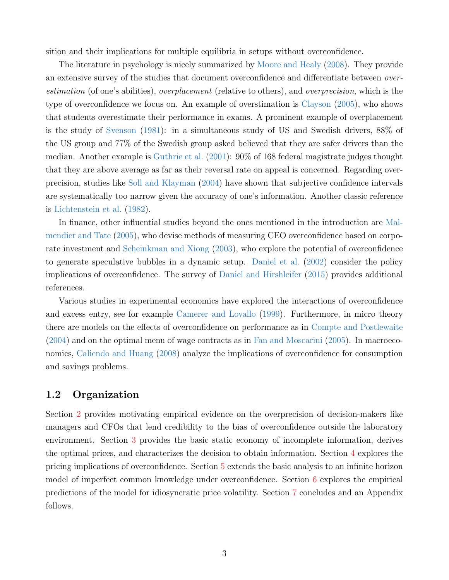sition and their implications for multiple equilibria in setups without overconfidence.

The literature in psychology is nicely summarized by [Moore and Healy](#page-47-6) [\(2008\)](#page-47-6). They provide an extensive survey of the studies that document overconfidence and differentiate between overestimation (of one's abilities), overplacement (relative to others), and overprecision, which is the type of overconfidence we focus on. An example of overstimation is [Clayson](#page-46-4) [\(2005\)](#page-46-4), who shows that students overestimate their performance in exams. A prominent example of overplacement is the study of [Svenson](#page-48-9) [\(1981\)](#page-48-9): in a simultaneous study of US and Swedish drivers, 88% of the US group and 77% of the Swedish group asked believed that they are safer drivers than the median. Another example is [Guthrie et al.](#page-47-7) [\(2001\)](#page-47-7): 90% of 168 federal magistrate judges thought that they are above average as far as their reversal rate on appeal is concerned. Regarding overprecision, studies like [Soll and Klayman](#page-48-10) [\(2004\)](#page-48-10) have shown that subjective confidence intervals are systematically too narrow given the accuracy of one's information. Another classic reference is [Lichtenstein et al.](#page-47-8) [\(1982\)](#page-47-8).

In finance, other influential studies beyond the ones mentioned in the introduction are [Mal](#page-47-9)[mendier and Tate](#page-47-9) [\(2005\)](#page-47-9), who devise methods of measuring CEO overconfidence based on corporate investment and [Scheinkman and Xiong](#page-48-11) [\(2003\)](#page-48-11), who explore the potential of overconfidence to generate speculative bubbles in a dynamic setup. [Daniel et al.](#page-46-5) [\(2002\)](#page-46-5) consider the policy implications of overconfidence. The survey of [Daniel and Hirshleifer](#page-46-6) [\(2015\)](#page-46-6) provides additional references.

Various studies in experimental economics have explored the interactions of overconfidence and excess entry, see for example [Camerer and Lovallo](#page-46-7) [\(1999\)](#page-46-7). Furthermore, in micro theory there are models on the effects of overconfidence on performance as in [Compte and Postlewaite](#page-46-8) [\(2004\)](#page-46-8) and on the optimal menu of wage contracts as in [Fan and Moscarini](#page-47-10) [\(2005\)](#page-47-10). In macroeconomics, [Caliendo and Huang](#page-46-9) [\(2008\)](#page-46-9) analyze the implications of overconfidence for consumption and savings problems.

## 1.2 Organization

Section [2](#page-4-0) provides motivating empirical evidence on the overprecision of decision-makers like managers and CFOs that lend credibility to the bias of overconfidence outside the laboratory environment. Section [3](#page-5-0) provides the basic static economy of incomplete information, derives the optimal prices, and characterizes the decision to obtain information. Section [4](#page-16-0) explores the pricing implications of overconfidence. Section [5](#page-18-0) extends the basic analysis to an infinite horizon model of imperfect common knowledge under overconfidence. Section [6](#page-22-0) explores the empirical predictions of the model for idiosyncratic price volatility. Section [7](#page-33-0) concludes and an Appendix follows.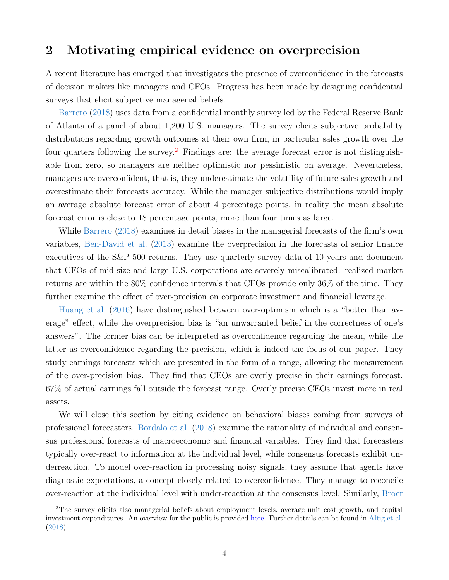# <span id="page-4-0"></span>2 Motivating empirical evidence on overprecision

A recent literature has emerged that investigates the presence of overconfidence in the forecasts of decision makers like managers and CFOs. Progress has been made by designing confidential surveys that elicit subjective managerial beliefs.

[Barrero](#page-45-2) [\(2018\)](#page-45-2) uses data from a confidential monthly survey led by the Federal Reserve Bank of Atlanta of a panel of about 1,200 U.S. managers. The survey elicits subjective probability distributions regarding growth outcomes at their own firm, in particular sales growth over the four quarters following the survey.<sup>[2](#page-4-1)</sup> Findings are: the average forecast error is not distinguishable from zero, so managers are neither optimistic nor pessimistic on average. Nevertheless, managers are overconfident, that is, they underestimate the volatility of future sales growth and overestimate their forecasts accuracy. While the manager subjective distributions would imply an average absolute forecast error of about 4 percentage points, in reality the mean absolute forecast error is close to 18 percentage points, more than four times as large.

While [Barrero](#page-45-2) [\(2018\)](#page-45-2) examines in detail biases in the managerial forecasts of the firm's own variables, [Ben-David et al.](#page-45-3) [\(2013\)](#page-45-3) examine the overprecision in the forecasts of senior finance executives of the S&P 500 returns. They use quarterly survey data of 10 years and document that CFOs of mid-size and large U.S. corporations are severely miscalibrated: realized market returns are within the 80% confidence intervals that CFOs provide only 36% of the time. They further examine the effect of over-precision on corporate investment and financial leverage.

[Huang et al.](#page-47-11) [\(2016\)](#page-47-11) have distinguished between over-optimism which is a "better than average" effect, while the overprecision bias is "an unwarranted belief in the correctness of one's answers". The former bias can be interpreted as overconfidence regarding the mean, while the latter as overconfidence regarding the precision, which is indeed the focus of our paper. They study earnings forecasts which are presented in the form of a range, allowing the measurement of the over-precision bias. They find that CEOs are overly precise in their earnings forecast. 67% of actual earnings fall outside the forecast range. Overly precise CEOs invest more in real assets.

We will close this section by citing evidence on behavioral biases coming from surveys of professional forecasters. [Bordalo et al.](#page-46-10) [\(2018\)](#page-46-10) examine the rationality of individual and consensus professional forecasts of macroeconomic and financial variables. They find that forecasters typically over-react to information at the individual level, while consensus forecasts exhibit underreaction. To model over-reaction in processing noisy signals, they assume that agents have diagnostic expectations, a concept closely related to overconfidence. They manage to reconcile over-reaction at the individual level with under-reaction at the consensus level. Similarly, [Broer](#page-46-11)

<span id="page-4-1"></span><sup>2</sup>[The survey elicits also managerial beliefs about employment levels, average unit cost growth, and capital](#page-46-11) [investment expenditures. An overview for the public is provided](#page-46-11) [here.](https://www.frbatlanta.org/research/surveys/business-uncertainty) Further details can be found in [Altig et al.](#page-45-4) [\(2018\).](#page-46-11)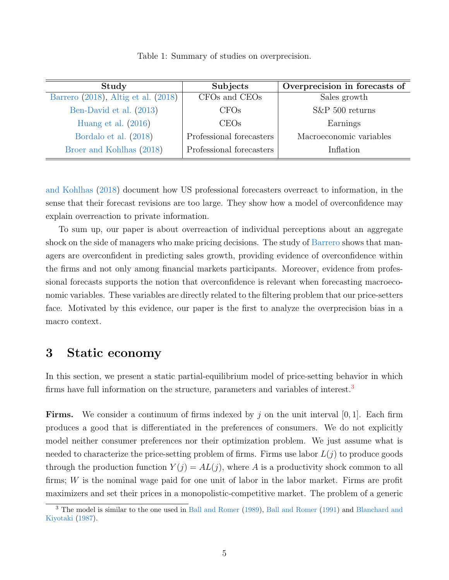| Study                               | Subjects                 | Overprecision in forecasts of |
|-------------------------------------|--------------------------|-------------------------------|
| Barrero (2018), Altig et al. (2018) | CFOs and CEOs            | Sales growth                  |
| Ben-David et al. (2013)             | CFOs                     | $S\&P 500$ returns            |
| Huang et al. $(2016)$               | CEOs                     | Earnings                      |
| Bordalo et al. (2018)               | Professional forecasters | Macroeconomic variables       |
| Broer and Kohlhas (2018)            | Professional forecasters | Inflation                     |

Table 1: Summary of studies on overprecision.

[and Kohlhas](#page-46-11) [\(2018\)](#page-46-11) document how US professional forecasters overreact to information, in the sense that their forecast revisions are too large. They show how a model of overconfidence may explain overreaction to private information.

To sum up, our paper is about overreaction of individual perceptions about an aggregate shock on the side of managers who make pricing decisions. The study of [Barrero](#page-45-2) shows that managers are overconfident in predicting sales growth, providing evidence of overconfidence within the firms and not only among financial markets participants. Moreover, evidence from professional forecasts supports the notion that overconfidence is relevant when forecasting macroeconomic variables. These variables are directly related to the filtering problem that our price-setters face. Motivated by this evidence, our paper is the first to analyze the overprecision bias in a macro context.

# <span id="page-5-0"></span>3 Static economy

In this section, we present a static partial-equilibrium model of price-setting behavior in which firms have full information on the structure, parameters and variables of interest.<sup>[3](#page-5-1)</sup>

**Firms.** We consider a continuum of firms indexed by j on the unit interval  $[0, 1]$ . Each firm produces a good that is differentiated in the preferences of consumers. We do not explicitly model neither consumer preferences nor their optimization problem. We just assume what is needed to characterize the price-setting problem of firms. Firms use labor  $L(j)$  to produce goods through the production function  $Y(j) = AL(j)$ , where A is a productivity shock common to all firms; W is the nominal wage paid for one unit of labor in the labor market. Firms are profit maximizers and set their prices in a monopolistic-competitive market. The problem of a generic

<span id="page-5-1"></span><sup>3</sup> The model is similar to the one used in [Ball and Romer](#page-45-5) [\(1989\)](#page-45-5), [Ball and Romer](#page-45-6) [\(1991\)](#page-45-6) and [Blanchard and](#page-45-7) [Kiyotaki](#page-45-7) [\(1987\)](#page-45-7).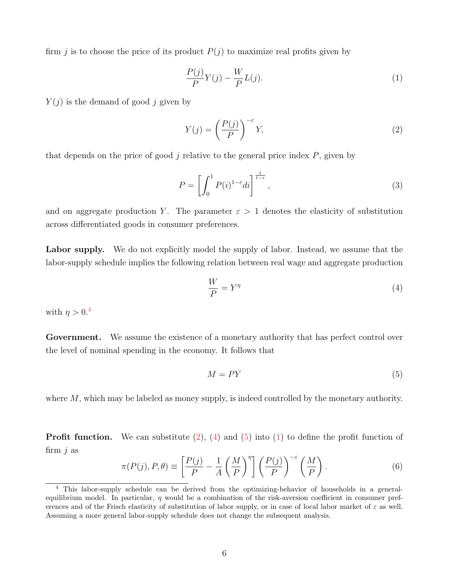firm j is to choose the price of its product  $P(j)$  to maximize real profits given by

<span id="page-6-4"></span>
$$
\frac{P(j)}{P}Y(j) - \frac{W}{P}L(j).
$$
\n(1)

 $Y(i)$  is the demand of good j given by

<span id="page-6-1"></span>
$$
Y(j) = \left(\frac{P(j)}{P}\right)^{-\varepsilon} Y,\tag{2}
$$

that depends on the price of good  $j$  relative to the general price index  $P$ , given by

<span id="page-6-6"></span>
$$
P = \left[ \int_0^1 P(i)^{1-\varepsilon} di \right]^{\frac{1}{1-\varepsilon}}, \tag{3}
$$

and on aggregate production Y. The parameter  $\varepsilon > 1$  denotes the elasticity of substitution across differentiated goods in consumer preferences.

Labor supply. We do not explicitly model the supply of labor. Instead, we assume that the labor-supply schedule implies the following relation between real wage and aggregate production

<span id="page-6-2"></span>
$$
\frac{W}{P} = Y^{\eta} \tag{4}
$$

with  $\eta > 0.4$  $\eta > 0.4$ 

Government. We assume the existence of a monetary authority that has perfect control over the level of nominal spending in the economy. It follows that

<span id="page-6-3"></span>
$$
M = PY \tag{5}
$$

where M, which may be labeled as money supply, is indeed controlled by the monetary authority.

**Profit function.** We can substitute  $(2)$ ,  $(4)$  and  $(5)$  into  $(1)$  to define the profit function of firm  $j$  as

<span id="page-6-5"></span>
$$
\pi(P(j), P, \theta) \equiv \left[\frac{P(j)}{P} - \frac{1}{A} \left(\frac{M}{P}\right)^{\eta}\right] \left(\frac{P(j)}{P}\right)^{-\varepsilon} \left(\frac{M}{P}\right). \tag{6}
$$

<span id="page-6-0"></span><sup>4</sup> This labor-supply schedule can be derived from the optimizing-behavior of households in a generalequilibrium model. In particular,  $\eta$  would be a combination of the risk-aversion coefficient in consumer preferences and of the Frisch elasticity of substitution of labor supply, or in case of local labor market of  $\varepsilon$  as well. Assuming a more general labor-supply schedule does not change the subsequent analysis.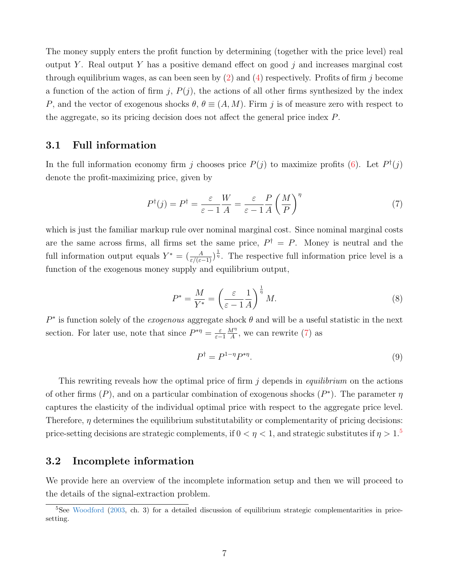The money supply enters the profit function by determining (together with the price level) real output Y. Real output Y has a positive demand effect on good  $j$  and increases marginal cost through equilibrium wages, as can been seen by  $(2)$  and  $(4)$  respectively. Profits of firm j become a function of the action of firm j,  $P(j)$ , the actions of all other firms synthesized by the index P, and the vector of exogenous shocks  $\theta$ ,  $\theta \equiv (A, M)$ . Firm j is of measure zero with respect to the aggregate, so its pricing decision does not affect the general price index P.

## 3.1 Full information

In the full information economy firm j chooses price  $P(j)$  to maximize profits [\(6\)](#page-6-5). Let  $P^{\dagger}(j)$ denote the profit-maximizing price, given by

<span id="page-7-0"></span>
$$
P^{\dagger}(j) = P^{\dagger} = \frac{\varepsilon}{\varepsilon - 1} \frac{W}{A} = \frac{\varepsilon}{\varepsilon - 1} \frac{P}{A} \left(\frac{M}{P}\right)^{\eta} \tag{7}
$$

which is just the familiar markup rule over nominal marginal cost. Since nominal marginal costs are the same across firms, all firms set the same price,  $P^{\dagger} = P$ . Money is neutral and the full information output equals  $Y^* = \left(\frac{A}{\varepsilon/(\varepsilon-1)}\right)^{\frac{1}{\eta}}$ . The respective full information price level is a function of the exogenous money supply and equilibrium output,

<span id="page-7-2"></span>
$$
P^* = \frac{M}{Y^*} = \left(\frac{\varepsilon}{\varepsilon - 1} \frac{1}{A}\right)^{\frac{1}{\eta}} M. \tag{8}
$$

 $P^*$  is function solely of the *exogenous* aggregate shock  $\theta$  and will be a useful statistic in the next section. For later use, note that since  $P^{*\eta} = \frac{\varepsilon}{\varepsilon}$ ε−1  $M^{\eta}$  $\frac{M''}{A}$ , we can rewrite [\(7\)](#page-7-0) as

<span id="page-7-3"></span>
$$
P^{\dagger} = P^{1-\eta} P^{*\eta}.
$$
\n<sup>(9)</sup>

This rewriting reveals how the optimal price of firm  $j$  depends in *equilibrium* on the actions of other firms  $(P)$ , and on a particular combination of exogenous shocks  $(P^*)$ . The parameter  $\eta$ captures the elasticity of the individual optimal price with respect to the aggregate price level. Therefore,  $\eta$  determines the equilibrium substitutability or complementarity of pricing decisions: price-setting decisions are strategic complements, if  $0 < \eta < 1$ , and strategic substitutes if  $\eta > 1$ .<sup>[5](#page-7-1)</sup>

#### 3.2 Incomplete information

We provide here an overview of the incomplete information setup and then we will proceed to the details of the signal-extraction problem.

<span id="page-7-1"></span><sup>&</sup>lt;sup>5</sup>See [Woodford](#page-48-12) [\(2003,](#page-48-12) ch. 3) for a detailed discussion of equilibrium strategic complementarities in pricesetting.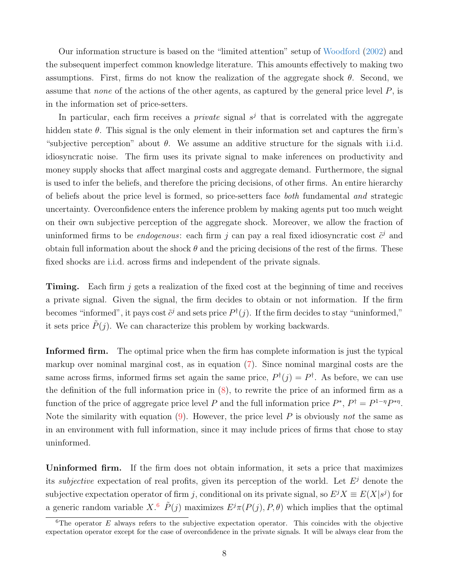Our information structure is based on the "limited attention" setup of [Woodford](#page-48-3) [\(2002\)](#page-48-3) and the subsequent imperfect common knowledge literature. This amounts effectively to making two assumptions. First, firms do not know the realization of the aggregate shock  $\theta$ . Second, we assume that *none* of the actions of the other agents, as captured by the general price level  $P$ , is in the information set of price-setters.

In particular, each firm receives a *private* signal  $s^j$  that is correlated with the aggregate hidden state  $\theta$ . This signal is the only element in their information set and captures the firm's "subjective perception" about  $\theta$ . We assume an additive structure for the signals with i.i.d. idiosyncratic noise. The firm uses its private signal to make inferences on productivity and money supply shocks that affect marginal costs and aggregate demand. Furthermore, the signal is used to infer the beliefs, and therefore the pricing decisions, of other firms. An entire hierarchy of beliefs about the price level is formed, so price-setters face both fundamental and strategic uncertainty. Overconfidence enters the inference problem by making agents put too much weight on their own subjective perception of the aggregate shock. Moreover, we allow the fraction of uninformed firms to be *endogenous*: each firm j can pay a real fixed idiosyncratic cost  $\tilde{c}^j$  and obtain full information about the shock  $\theta$  and the pricing decisions of the rest of the firms. These fixed shocks are i.i.d. across firms and independent of the private signals.

**Timing.** Each firm j gets a realization of the fixed cost at the beginning of time and receives a private signal. Given the signal, the firm decides to obtain or not information. If the firm becomes "informed", it pays cost  $\tilde{c}^j$  and sets price  $P^{\dagger}(j)$ . If the firm decides to stay "uninformed," it sets price  $\tilde{P}(j)$ . We can characterize this problem by working backwards.

Informed firm. The optimal price when the firm has complete information is just the typical markup over nominal marginal cost, as in equation [\(7\)](#page-7-0). Since nominal marginal costs are the same across firms, informed firms set again the same price,  $P^{\dagger}(j) = P^{\dagger}$ . As before, we can use the definition of the full information price in  $(8)$ , to rewrite the price of an informed firm as a function of the price of aggregate price level P and the full information price  $P^*$ ,  $P^{\dagger} = P^{1-\eta}P^{*\eta}$ . Note the similarity with equation  $(9)$ . However, the price level P is obviously not the same as in an environment with full information, since it may include prices of firms that chose to stay uninformed.

Uninformed firm. If the firm does not obtain information, it sets a price that maximizes its *subjective* expectation of real profits, given its perception of the world. Let  $E^j$  denote the subjective expectation operator of firm j, conditional on its private signal, so  $E^j X \equiv E(X|s^j)$  for a generic random variable  $X$ <sup>[6](#page-8-0)</sup>  $\tilde{P}(j)$  maximizes  $E^j \pi(P(j), P, \theta)$  which implies that the optimal

<span id="page-8-0"></span><sup>&</sup>lt;sup>6</sup>The operator  $E$  always refers to the subjective expectation operator. This coincides with the objective expectation operator except for the case of overconfidence in the private signals. It will be always clear from the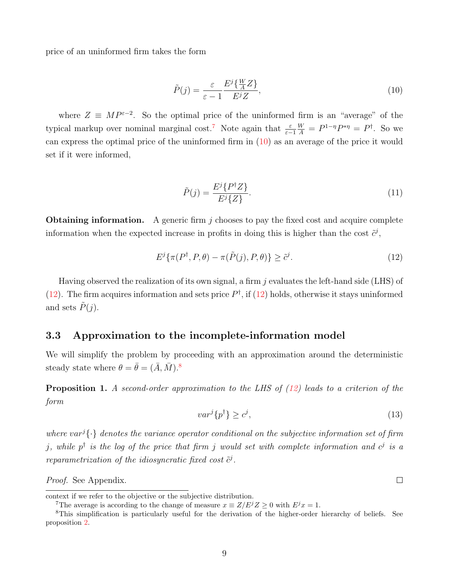price of an uninformed firm takes the form

<span id="page-9-1"></span>
$$
\tilde{P}(j) = \frac{\varepsilon}{\varepsilon - 1} \frac{E^j \{ \frac{W}{A} Z \}}{E^j Z},\tag{10}
$$

where  $Z \equiv MP^{\varepsilon-2}$ . So the optimal price of the uninformed firm is an "average" of the typical markup over nominal marginal cost.<sup>[7](#page-9-0)</sup> Note again that  $\frac{\varepsilon}{\varepsilon - 1}$  $\frac{W}{A} = P^{1-\eta}P^{*\eta} = P^{\dagger}$ . So we can express the optimal price of the uninformed firm in [\(10\)](#page-9-1) as an average of the price it would set if it were informed,

<span id="page-9-6"></span>
$$
\tilde{P}(j) = \frac{E^j \{P^\dagger Z\}}{E^j \{Z\}}.\tag{11}
$$

**Obtaining information.** A generic firm  $j$  chooses to pay the fixed cost and acquire complete information when the expected increase in profits in doing this is higher than the cost  $\tilde{c}^j$ ,

<span id="page-9-2"></span>
$$
E^j\{\pi(P^\dagger, P, \theta) - \pi(\tilde{P}(j), P, \theta)\} \ge \tilde{c}^j. \tag{12}
$$

Having observed the realization of its own signal, a firm  $j$  evaluates the left-hand side (LHS) of [\(12\)](#page-9-2). The firm acquires information and sets price  $P^{\dagger}$ , if (12) holds, otherwise it stays uninformed and sets  $\tilde{P}(j)$ .

## 3.3 Approximation to the incomplete-information model

We will simplify the problem by proceeding with an approximation around the deterministic steady state where  $\theta = \bar{\theta} = (\bar{A}, \bar{M})$ .<sup>[8](#page-9-3)</sup>

<span id="page-9-4"></span>**Proposition 1.** A second-order approximation to the LHS of  $(12)$  leads to a criterion of the form

<span id="page-9-5"></span>
$$
var^{j}\{p^{\dagger}\} \ge c^{j},\tag{13}
$$

 $\Box$ 

where var<sup>j</sup> $\{\cdot\}$  denotes the variance operator conditional on the subjective information set of firm *j*, while  $p^{\dagger}$  is the log of the price that firm *j* would set with complete information and  $c^j$  is a reparametrization of the idiosyncratic fixed cost  $\tilde{c}^j$ .

Proof. See Appendix.

context if we refer to the objective or the subjective distribution.

<span id="page-9-3"></span><span id="page-9-0"></span><sup>&</sup>lt;sup>7</sup>The average is according to the change of measure  $x \equiv Z/E^{j}Z \ge 0$  with  $E^{j}x = 1$ .

<sup>8</sup>This simplification is particularly useful for the derivation of the higher-order hierarchy of beliefs. See proposition [2.](#page-13-0)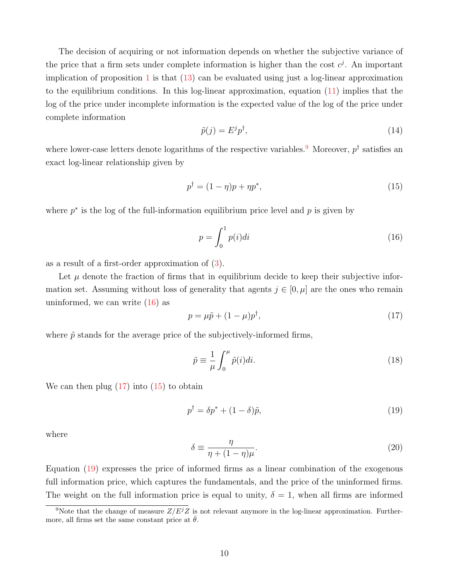The decision of acquiring or not information depends on whether the subjective variance of the price that a firm sets under complete information is higher than the cost  $c^j$ . An important implication of proposition [1](#page-9-4) is that [\(13\)](#page-9-5) can be evaluated using just a log-linear approximation to the equilibrium conditions. In this log-linear approximation, equation [\(11\)](#page-9-6) implies that the log of the price under incomplete information is the expected value of the log of the price under complete information

<span id="page-10-5"></span>
$$
\tilde{p}(j) = E^j p^\dagger,\tag{14}
$$

where lower-case letters denote logarithms of the respective variables.<sup>[9](#page-10-0)</sup> Moreover,  $p^{\dagger}$  satisfies an exact log-linear relationship given by

<span id="page-10-3"></span>
$$
p^{\dagger} = (1 - \eta)p + \eta p^*,
$$
\n(15)

where  $p^*$  is the log of the full-information equilibrium price level and  $p$  is given by

<span id="page-10-1"></span>
$$
p = \int_0^1 p(i)di\tag{16}
$$

as a result of a first-order approximation of [\(3\)](#page-6-6).

Let  $\mu$  denote the fraction of firms that in equilibrium decide to keep their subjective information set. Assuming without loss of generality that agents  $j \in [0, \mu]$  are the ones who remain uninformed, we can write  $(16)$  as

<span id="page-10-2"></span>
$$
p = \mu \tilde{p} + (1 - \mu)p^{\dagger}, \tag{17}
$$

where  $\tilde{p}$  stands for the average price of the subjectively-informed firms,

<span id="page-10-6"></span>
$$
\tilde{p} \equiv \frac{1}{\mu} \int_0^{\mu} \tilde{p}(i) di.
$$
\n(18)

We can then plug  $(17)$  into  $(15)$  to obtain

<span id="page-10-4"></span>
$$
p^{\dagger} = \delta p^* + (1 - \delta)\tilde{p},\tag{19}
$$

where

<span id="page-10-7"></span>
$$
\delta \equiv \frac{\eta}{\eta + (1 - \eta)\mu}.\tag{20}
$$

Equation [\(19\)](#page-10-4) expresses the price of informed firms as a linear combination of the exogenous full information price, which captures the fundamentals, and the price of the uninformed firms. The weight on the full information price is equal to unity,  $\delta = 1$ , when all firms are informed

<span id="page-10-0"></span><sup>&</sup>lt;sup>9</sup>Note that the change of measure  $Z/E^{j}Z$  is not relevant anymore in the log-linear approximation. Furthermore, all firms set the same constant price at  $\theta$ .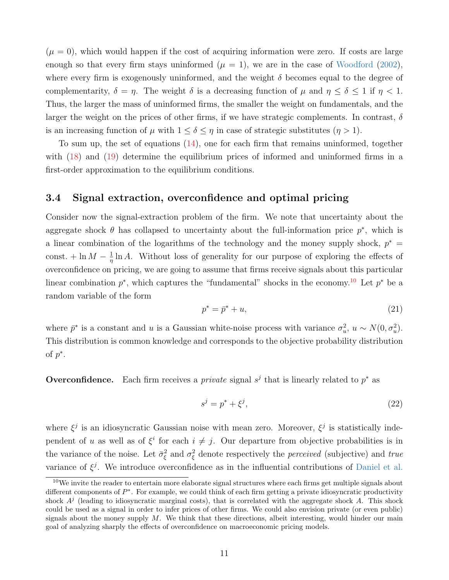$(\mu = 0)$ , which would happen if the cost of acquiring information were zero. If costs are large enough so that every firm stays uninformed  $(\mu = 1)$ , we are in the case of [Woodford](#page-48-3) [\(2002\)](#page-48-3), where every firm is exogenously uninformed, and the weight  $\delta$  becomes equal to the degree of complementarity,  $\delta = \eta$ . The weight  $\delta$  is a decreasing function of  $\mu$  and  $\eta \leq \delta \leq 1$  if  $\eta < 1$ . Thus, the larger the mass of uninformed firms, the smaller the weight on fundamentals, and the larger the weight on the prices of other firms, if we have strategic complements. In contrast,  $\delta$ is an increasing function of  $\mu$  with  $1 \leq \delta \leq \eta$  in case of strategic substitutes  $(\eta > 1)$ .

To sum up, the set of equations [\(14\)](#page-10-5), one for each firm that remains uninformed, together with [\(18\)](#page-10-6) and [\(19\)](#page-10-4) determine the equilibrium prices of informed and uninformed firms in a first-order approximation to the equilibrium conditions.

## 3.4 Signal extraction, overconfidence and optimal pricing

Consider now the signal-extraction problem of the firm. We note that uncertainty about the aggregate shock  $\theta$  has collapsed to uncertainty about the full-information price  $p^*$ , which is a linear combination of the logarithms of the technology and the money supply shock,  $p^* =$ const.  $+\ln M - \frac{1}{n}$  $\frac{1}{\eta} \ln A$ . Without loss of generality for our purpose of exploring the effects of overconfidence on pricing, we are going to assume that firms receive signals about this particular linear combination  $p^*$ , which captures the "fundamental" shocks in the economy.<sup>[10](#page-11-0)</sup> Let  $p^*$  be a random variable of the form

<span id="page-11-1"></span>
$$
p^* = \bar{p}^* + u,\tag{21}
$$

where  $\bar{p}^*$  is a constant and u is a Gaussian white-noise process with variance  $\sigma_u^2$ ,  $u \sim N(0, \sigma_u^2)$ . This distribution is common knowledge and corresponds to the objective probability distribution of  $p^*$ .

**Overconfidence.** Each firm receives a *private* signal  $s^j$  that is linearly related to  $p^*$  as

$$
s^j = p^* + \xi^j,\tag{22}
$$

where  $\xi^j$  is an idiosyncratic Gaussian noise with mean zero. Moreover,  $\xi^j$  is statistically independent of u as well as of  $\xi^i$  for each  $i \neq j$ . Our departure from objective probabilities is in the variance of the noise. Let  $\bar{\sigma}_{\xi}^2$  and  $\sigma_{\xi}^2$  denote respectively the *perceived* (subjective) and *true* variance of  $\xi^j$ . We introduce overconfidence as in the influential contributions of [Daniel et al.](#page-46-0)

<span id="page-11-0"></span> $10$ We invite the reader to entertain more elaborate signal structures where each firms get multiple signals about different components of  $P^*$ . For example, we could think of each firm getting a private idiosyncratic productivity shock  $A<sup>j</sup>$  (leading to idiosyncratic marginal costs), that is correlated with the aggregate shock A. This shock could be used as a signal in order to infer prices of other firms. We could also envision private (or even public) signals about the money supply  $M$ . We think that these directions, albeit interesting, would hinder our main goal of analyzing sharply the effects of overconfidence on macroeconomic pricing models.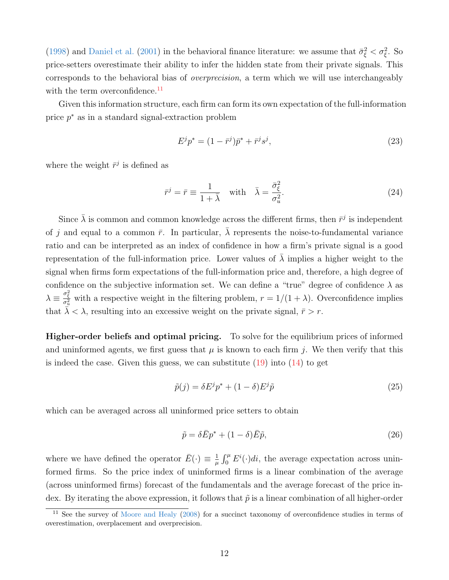[\(1998\)](#page-46-0) and [Daniel et al.](#page-46-1) [\(2001\)](#page-46-1) in the behavioral finance literature: we assume that  $\bar{\sigma}_{\xi}^2 < \sigma_{\xi}^2$ . So price-setters overestimate their ability to infer the hidden state from their private signals. This corresponds to the behavioral bias of overprecision, a term which we will use interchangeably with the term overconfidence.<sup>[11](#page-12-0)</sup>

Given this information structure, each firm can form its own expectation of the full-information price  $p^*$  as in a standard signal-extraction problem

<span id="page-12-1"></span>
$$
E^j p^* = (1 - \bar{r}^j) \bar{p}^* + \bar{r}^j s^j,
$$
\n(23)

where the weight  $\bar{r}^j$  is defined as

$$
\bar{r}^j = \bar{r} \equiv \frac{1}{1+\bar{\lambda}} \quad \text{with} \quad \bar{\lambda} = \frac{\bar{\sigma}_{\xi}^2}{\sigma_u^2}.
$$
 (24)

Since  $\bar{\lambda}$  is common and common knowledge across the different firms, then  $\bar{r}^j$  is independent of j and equal to a common  $\bar{r}$ . In particular,  $\bar{\lambda}$  represents the noise-to-fundamental variance ratio and can be interpreted as an index of confidence in how a firm's private signal is a good representation of the full-information price. Lower values of  $\bar{\lambda}$  implies a higher weight to the signal when firms form expectations of the full-information price and, therefore, a high degree of confidence on the subjective information set. We can define a "true" degree of confidence  $\lambda$  as  $\lambda \equiv \frac{\sigma_{\xi}^{2}}{\sigma_{u}^{2}}$  with a respective weight in the filtering problem,  $r = 1/(1+\lambda)$ . Overconfidence implies that  $\lambda < \lambda$ , resulting into an excessive weight on the private signal,  $\bar{r} > r$ .

Higher-order beliefs and optimal pricing. To solve for the equilibrium prices of informed and uninformed agents, we first guess that  $\mu$  is known to each firm j. We then verify that this is indeed the case. Given this guess, we can substitute  $(19)$  into  $(14)$  to get

$$
\tilde{p}(j) = \delta E^j p^* + (1 - \delta) E^j \tilde{p}
$$
\n(25)

which can be averaged across all uninformed price setters to obtain

$$
\tilde{p} = \delta \bar{E} p^* + (1 - \delta) \bar{E} \tilde{p},\tag{26}
$$

where we have defined the operator  $\bar{E}(\cdot) \equiv \frac{1}{\mu}$  $\frac{1}{\mu} \int_0^{\mu} E^i(\cdot) dt$ , the average expectation across uninformed firms. So the price index of uninformed firms is a linear combination of the average (across uninformed firms) forecast of the fundamentals and the average forecast of the price index. By iterating the above expression, it follows that  $\tilde{p}$  is a linear combination of all higher-order

<span id="page-12-0"></span> $11$  See the survey of [Moore and Healy](#page-47-6) [\(2008\)](#page-47-6) for a succinct taxonomy of overconfidence studies in terms of overestimation, overplacement and overprecision.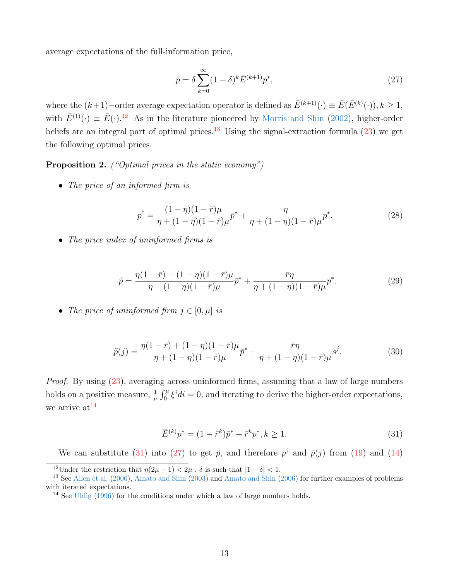average expectations of the full-information price,

<span id="page-13-5"></span>
$$
\tilde{p} = \delta \sum_{k=0}^{\infty} (1 - \delta)^k \bar{E}^{(k+1)} p^*,
$$
\n(27)

where the  $(k+1)$ –order average expectation operator is defined as  $\bar{E}^{(k+1)}(\cdot) \equiv \bar{E}(\bar{E}^{(k)}(\cdot)), k \ge 1$ , with  $\bar{E}^{(1)}(\cdot) \equiv \bar{E}(\cdot)$ .<sup>[12](#page-13-1)</sup> As in the literature pioneered by [Morris and Shin](#page-47-12) [\(2002\)](#page-47-12), higher-order beliefs are an integral part of optimal prices.<sup>[13](#page-13-2)</sup> Using the signal-extraction formula  $(23)$  we get the following optimal prices.

<span id="page-13-0"></span>Proposition 2. ("Optimal prices in the static economy")

• The price of an informed firm is

<span id="page-13-6"></span>
$$
p^{\dagger} = \frac{(1-\eta)(1-\bar{r})\mu}{\eta + (1-\eta)(1-\bar{r})\mu} \bar{p}^* + \frac{\eta}{\eta + (1-\eta)(1-\bar{r})\mu} p^*.
$$
 (28)

• The price index of uninformed firms is

$$
\tilde{p} = \frac{\eta(1-\bar{r}) + (1-\eta)(1-\bar{r})\mu}{\eta + (1-\eta)(1-\bar{r})\mu} \bar{p}^* + \frac{\bar{r}\eta}{\eta + (1-\eta)(1-\bar{r})\mu} p^*.
$$
\n(29)

• The price of uninformed firm  $j \in [0, \mu]$  is

$$
\tilde{p}(j) = \frac{\eta(1-\bar{r}) + (1-\eta)(1-\bar{r})\mu}{\eta + (1-\eta)(1-\bar{r})\mu} \bar{p}^* + \frac{\bar{r}\eta}{\eta + (1-\eta)(1-\bar{r})\mu} s^j.
$$
\n(30)

Proof. By using [\(23\)](#page-12-1), averaging across uninformed firms, assuming that a law of large numbers holds on a positive measure,  $\frac{1}{\mu} \int_0^{\mu} \xi^i di = 0$ , and iterating to derive the higher-order expectations, we arrive  $at^{14}$  $at^{14}$  $at^{14}$ 

<span id="page-13-4"></span>
$$
\bar{E}^{(k)}p^* = (1 - \bar{r}^k)\bar{p}^* + \bar{r}^k p^*, k \ge 1.
$$
\n(31)

We can substitute [\(31\)](#page-13-4) into [\(27\)](#page-13-5) to get  $\tilde{p}$ , and therefore  $p^{\dagger}$  and  $\tilde{p}(j)$  from [\(19\)](#page-10-4) and [\(14\)](#page-10-5)

<span id="page-13-2"></span><span id="page-13-1"></span><sup>&</sup>lt;sup>12</sup>Under the restriction that  $\eta(2\mu - 1) < 2\mu$ ,  $\delta$  is such that  $|1 - \delta| < 1$ .

<sup>13</sup> See [Allen et al.](#page-45-8) [\(2006\)](#page-45-8), [Amato and Shin](#page-45-9) [\(2003\)](#page-45-9) and [Amato and Shin](#page-45-10) [\(2006\)](#page-45-10) for further examples of problems with iterated expectations.

<span id="page-13-3"></span><sup>14</sup> See [Uhlig](#page-48-13) [\(1996\)](#page-48-13) for the conditions under which a law of large numbers holds.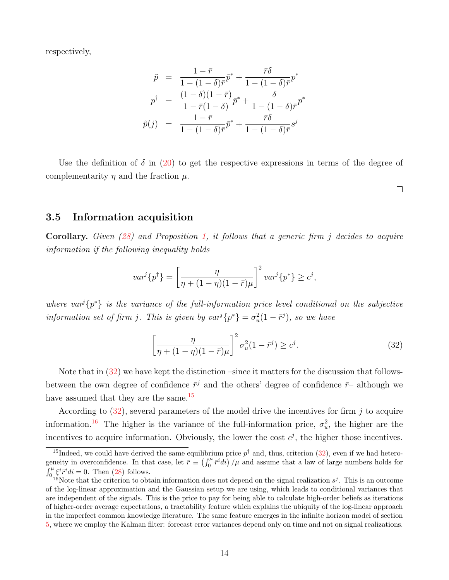respectively,

$$
\tilde{p} = \frac{1 - \bar{r}}{1 - (1 - \delta)\bar{r}} \tilde{p}^* + \frac{\bar{r}\delta}{1 - (1 - \delta)\bar{r}} p^*
$$
\n
$$
p^{\dagger} = \frac{(1 - \delta)(1 - \bar{r})}{1 - \bar{r}(1 - \delta)} \tilde{p}^* + \frac{\delta}{1 - (1 - \delta)\bar{r}} p^*
$$
\n
$$
\tilde{p}(j) = \frac{1 - \bar{r}}{1 - (1 - \delta)\bar{r}} \tilde{p}^* + \frac{\bar{r}\delta}{1 - (1 - \delta)\bar{r}} s^j
$$

Use the definition of  $\delta$  in [\(20\)](#page-10-7) to get the respective expressions in terms of the degree of complementarity  $\eta$  and the fraction  $\mu$ .

3.5 Information acquisition

Corollary. Given [\(28\)](#page-13-6) and Proposition [1,](#page-9-4) it follows that a generic firm j decides to acquire information if the following inequality holds

$$
var^{j}\{p^{\dagger}\} = \left[\frac{\eta}{\eta + (1-\eta)(1-\bar{r})\mu}\right]^{2} var^{j}\{p^{*}\} \geq c^{j},
$$

where var<sup>j</sup> $\{p^*\}$  is the variance of the full-information price level conditional on the subjective information set of firm j. This is given by  $var^j\{p^*\} = \sigma_u^2(1 - \bar{r}^j)$ , so we have

<span id="page-14-0"></span>
$$
\left[\frac{\eta}{\eta + (1 - \eta)(1 - \bar{r})\mu}\right]^2 \sigma_u^2 (1 - \bar{r}^j) \ge c^j.
$$
\n(32)

 $\Box$ 

Note that in [\(32\)](#page-14-0) we have kept the distinction –since it matters for the discussion that followsbetween the own degree of confidence  $\bar{r}^j$  and the others' degree of confidence  $\bar{r}$ – although we have assumed that they are the same.<sup>[15](#page-14-1)</sup>

According to  $(32)$ , several parameters of the model drive the incentives for firm j to acquire information.<sup>[16](#page-14-2)</sup> The higher is the variance of the full-information price,  $\sigma_u^2$ , the higher are the incentives to acquire information. Obviously, the lower the cost  $c^j$ , the higher those incentives.

<span id="page-14-1"></span><sup>&</sup>lt;sup>15</sup>Indeed, we could have derived the same equilibrium price  $p^{\dagger}$  and, thus, criterion [\(32\)](#page-14-0), even if we had heterogeneity in overconfidence. In that case, let  $\bar{r} \equiv \left(\int_0^{\mu} \bar{r}^i d\hat{i}\right)/\mu$  and assume that a law of large numbers holds for  $\int_0^\mu \xi^i \bar{r}^i di = 0$ . Then [\(28\)](#page-13-6) follows.

<span id="page-14-2"></span><sup>&</sup>lt;sup>16</sup>Note that the criterion to obtain information does not depend on the signal realization  $s^j$ . This is an outcome of the log-linear approximation and the Gaussian setup we are using, which leads to conditional variances that are independent of the signals. This is the price to pay for being able to calculate high-order beliefs as iterations of higher-order average expectations, a tractability feature which explains the ubiquity of the log-linear approach in the imperfect common knowledge literature. The same feature emerges in the infinite horizon model of section [5,](#page-18-0) where we employ the Kalman filter: forecast error variances depend only on time and not on signal realizations.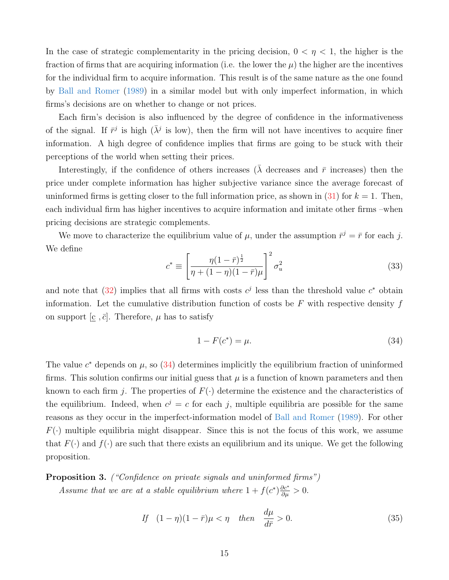In the case of strategic complementarity in the pricing decision,  $0 < \eta < 1$ , the higher is the fraction of firms that are acquiring information (i.e. the lower the  $\mu$ ) the higher are the incentives for the individual firm to acquire information. This result is of the same nature as the one found by [Ball and Romer](#page-45-5) [\(1989\)](#page-45-5) in a similar model but with only imperfect information, in which firms's decisions are on whether to change or not prices.

Each firm's decision is also influenced by the degree of confidence in the informativeness of the signal. If  $\bar{r}^j$  is high  $(\bar{\lambda}^j$  is low), then the firm will not have incentives to acquire finer information. A high degree of confidence implies that firms are going to be stuck with their perceptions of the world when setting their prices.

Interestingly, if the confidence of others increases ( $\overline{\lambda}$  decreases and  $\overline{r}$  increases) then the price under complete information has higher subjective variance since the average forecast of uninformed firms is getting closer to the full information price, as shown in  $(31)$  for  $k = 1$ . Then, each individual firm has higher incentives to acquire information and imitate other firms –when pricing decisions are strategic complements.

We move to characterize the equilibrium value of  $\mu$ , under the assumption  $\bar{r}^j = \bar{r}$  for each j. We define

$$
c^* \equiv \left[ \frac{\eta (1 - \bar{r})^{\frac{1}{2}}}{\eta + (1 - \eta)(1 - \bar{r})\mu} \right]^2 \sigma_u^2 \tag{33}
$$

and note that [\(32\)](#page-14-0) implies that all firms with costs  $c^j$  less than the threshold value  $c^*$  obtain information. Let the cumulative distribution function of costs be  $F$  with respective density  $f$ on support  $[\underline{c}, \overline{c}]$ . Therefore,  $\mu$  has to satisfy

<span id="page-15-0"></span>
$$
1 - F(c^*) = \mu. \tag{34}
$$

The value  $c^*$  depends on  $\mu$ , so [\(34\)](#page-15-0) determines implicitly the equilibrium fraction of uninformed firms. This solution confirms our initial guess that  $\mu$  is a function of known parameters and then known to each firm j. The properties of  $F(\cdot)$  determine the existence and the characteristics of the equilibrium. Indeed, when  $c^j = c$  for each j, multiple equilibria are possible for the same reasons as they occur in the imperfect-information model of [Ball and Romer](#page-45-5) [\(1989\)](#page-45-5). For other  $F(\cdot)$  multiple equilibria might disappear. Since this is not the focus of this work, we assume that  $F(\cdot)$  and  $f(\cdot)$  are such that there exists an equilibrium and its unique. We get the following proposition.

<span id="page-15-1"></span>**Proposition 3.** ("Confidence on private signals and uninformed firms") Assume that we are at a stable equilibrium where  $1 + f(c^*)\frac{\partial c^*}{\partial \mu} > 0$ .

<span id="page-15-2"></span>If 
$$
(1 - \eta)(1 - \bar{r})\mu < \eta
$$
 then  $\frac{d\mu}{d\bar{r}} > 0.$  (35)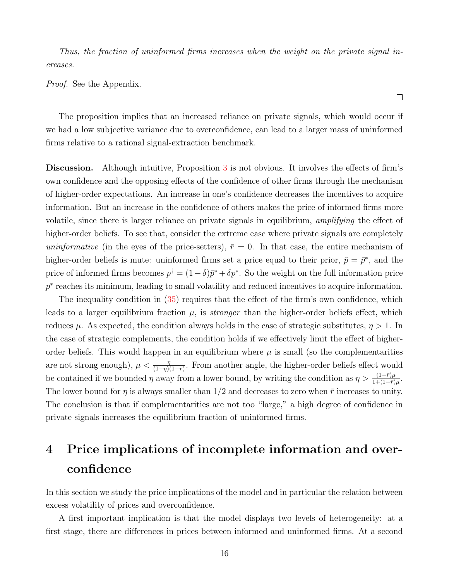Thus, the fraction of uninformed firms increases when the weight on the private signal increases.

Proof. See the Appendix.

The proposition implies that an increased reliance on private signals, which would occur if we had a low subjective variance due to overconfidence, can lead to a larger mass of uninformed firms relative to a rational signal-extraction benchmark.

 $\Box$ 

Discussion. Although intuitive, Proposition [3](#page-15-1) is not obvious. It involves the effects of firm's own confidence and the opposing effects of the confidence of other firms through the mechanism of higher-order expectations. An increase in one's confidence decreases the incentives to acquire information. But an increase in the confidence of others makes the price of informed firms more volatile, since there is larger reliance on private signals in equilibrium, amplifying the effect of higher-order beliefs. To see that, consider the extreme case where private signals are completely uninformative (in the eyes of the price-setters),  $\bar{r} = 0$ . In that case, the entire mechanism of higher-order beliefs is mute: uninformed firms set a price equal to their prior,  $\tilde{p} = \bar{p}^*$ , and the price of informed firms becomes  $p^{\dagger} = (1 - \delta)\bar{p}^* + \delta p^*$ . So the weight on the full information price p<sup>\*</sup> reaches its minimum, leading to small volatility and reduced incentives to acquire information.

The inequality condition in [\(35\)](#page-15-2) requires that the effect of the firm's own confidence, which leads to a larger equilibrium fraction  $\mu$ , is *stronger* than the higher-order beliefs effect, which reduces  $\mu$ . As expected, the condition always holds in the case of strategic substitutes,  $\eta > 1$ . In the case of strategic complements, the condition holds if we effectively limit the effect of higherorder beliefs. This would happen in an equilibrium where  $\mu$  is small (so the complementarities are not strong enough),  $\mu < \frac{\eta}{(1-\eta)(1-\bar{r})}$ . From another angle, the higher-order beliefs effect would be contained if we bounded  $\eta$  away from a lower bound, by writing the condition as  $\eta > \frac{(1-\bar{r})\mu}{1+(1-\bar{r})\mu}$ . The lower bound for  $\eta$  is always smaller than 1/2 and decreases to zero when  $\bar{r}$  increases to unity. The conclusion is that if complementarities are not too "large," a high degree of confidence in private signals increases the equilibrium fraction of uninformed firms.

# <span id="page-16-0"></span>4 Price implications of incomplete information and overconfidence

In this section we study the price implications of the model and in particular the relation between excess volatility of prices and overconfidence.

A first important implication is that the model displays two levels of heterogeneity: at a first stage, there are differences in prices between informed and uninformed firms. At a second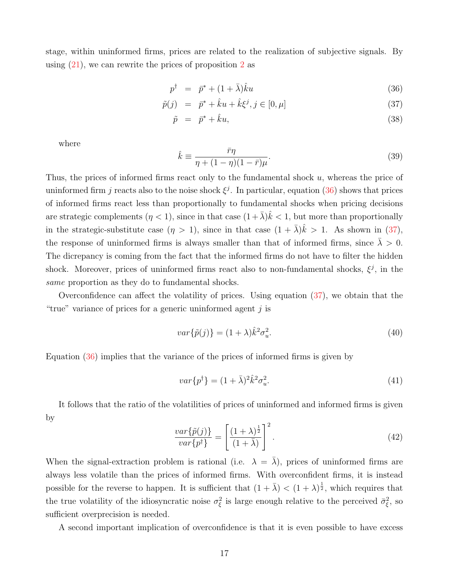stage, within uninformed firms, prices are related to the realization of subjective signals. By using  $(21)$ , we can rewrite the prices of proposition [2](#page-13-0) as

<span id="page-17-0"></span>
$$
p^{\dagger} = \bar{p}^* + (1+\bar{\lambda})\hat{k}u \tag{36}
$$

$$
\tilde{p}(j) = \bar{p}^* + \hat{k}u + \hat{k}\xi^j, j \in [0, \mu]
$$
\n(37)

$$
\tilde{p} = \bar{p}^* + \hat{k}u,\tag{38}
$$

where

<span id="page-17-1"></span>
$$
\hat{k} \equiv \frac{\bar{r}\eta}{\eta + (1 - \eta)(1 - \bar{r})\mu}.\tag{39}
$$

Thus, the prices of informed firms react only to the fundamental shock u, whereas the price of uninformed firm j reacts also to the noise shock  $\xi^j$ . In particular, equation [\(36\)](#page-17-0) shows that prices of informed firms react less than proportionally to fundamental shocks when pricing decisions are strategic complements  $(\eta < 1)$ , since in that case  $(1 + \bar{\lambda})\hat{k} < 1$ , but more than proportionally in the strategic-substitute case  $(\eta > 1)$ , since in that case  $(1 + \bar{\lambda})\hat{k} > 1$ . As shown in [\(37\)](#page-17-0), the response of uninformed firms is always smaller than that of informed firms, since  $\lambda > 0$ . The dicrepancy is coming from the fact that the informed firms do not have to filter the hidden shock. Moreover, prices of uninformed firms react also to non-fundamental shocks,  $\xi^j$ , in the same proportion as they do to fundamental shocks.

Overconfidence can affect the volatility of prices. Using equation [\(37\)](#page-17-0), we obtain that the "true" variance of prices for a generic uninformed agent  $j$  is

$$
var\{\tilde{p}(j)\} = (1+\lambda)\hat{k}^2 \sigma_u^2.
$$
\n(40)

Equation [\(36\)](#page-17-0) implies that the variance of the prices of informed firms is given by

$$
var\{p^{\dagger}\} = (1+\bar{\lambda})^2 \hat{k}^2 \sigma_u^2. \tag{41}
$$

It follows that the ratio of the volatilities of prices of uninformed and informed firms is given by

$$
\frac{var\{\tilde{p}(j)\}}{var\{p^{\dagger}\}} = \left[\frac{(1+\lambda)^{\frac{1}{2}}}{(1+\bar{\lambda})}\right]^{2}.
$$
\n(42)

When the signal-extraction problem is rational (i.e.  $\lambda = \overline{\lambda}$ ), prices of uninformed firms are always less volatile than the prices of informed firms. With overconfident firms, it is instead possible for the reverse to happen. It is sufficient that  $(1 + \bar{\lambda}) < (1 + \lambda)^{\frac{1}{2}}$ , which requires that the true volatility of the idiosyncratic noise  $\sigma_{\xi}^2$  is large enough relative to the perceived  $\bar{\sigma}_{\xi}^2$ , so sufficient overprecision is needed.

A second important implication of overconfidence is that it is even possible to have excess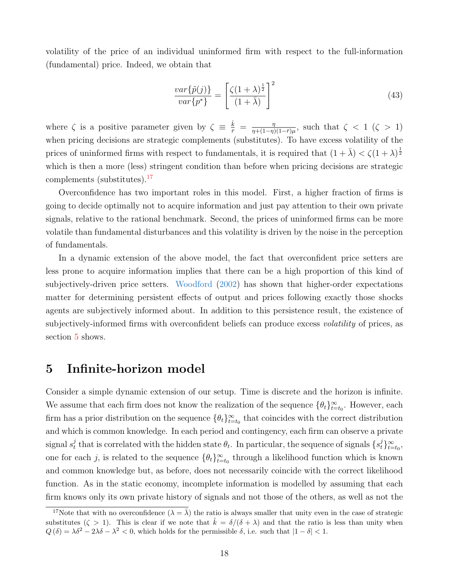volatility of the price of an individual uninformed firm with respect to the full-information (fundamental) price. Indeed, we obtain that

$$
\frac{var\{\tilde{p}(j)\}}{var\{p^*\}} = \left[\frac{\zeta(1+\lambda)^{\frac{1}{2}}}{(1+\bar{\lambda})}\right]^2\tag{43}
$$

where  $\zeta$  is a positive parameter given by  $\zeta \equiv \frac{\hat{k}}{\bar{r}} = \frac{\eta}{\eta + (1-\eta)}$  $\frac{\eta}{\eta+(1-\eta)(1-\bar{r})\mu}$ , such that  $\zeta < 1$  ( $\zeta > 1$ ) when pricing decisions are strategic complements (substitutes). To have excess volatility of the prices of uninformed firms with respect to fundamentals, it is required that  $(1 + \bar{\lambda}) < \zeta(1 + \lambda)^{\frac{1}{2}}$ which is then a more (less) stringent condition than before when pricing decisions are strategic complements (substitutes).[17](#page-18-1)

Overconfidence has two important roles in this model. First, a higher fraction of firms is going to decide optimally not to acquire information and just pay attention to their own private signals, relative to the rational benchmark. Second, the prices of uninformed firms can be more volatile than fundamental disturbances and this volatility is driven by the noise in the perception of fundamentals.

In a dynamic extension of the above model, the fact that overconfident price setters are less prone to acquire information implies that there can be a high proportion of this kind of subjectively-driven price setters. [Woodford](#page-48-3) [\(2002\)](#page-48-3) has shown that higher-order expectations matter for determining persistent effects of output and prices following exactly those shocks agents are subjectively informed about. In addition to this persistence result, the existence of subjectively-informed firms with overconfident beliefs can produce excess *volatility* of prices, as section [5](#page-18-0) shows.

# <span id="page-18-0"></span>5 Infinite-horizon model

Consider a simple dynamic extension of our setup. Time is discrete and the horizon is infinite. We assume that each firm does not know the realization of the sequence  $\{\theta_t\}_{t=t_0}^{\infty}$ . However, each firm has a prior distribution on the sequence  $\{\theta_t\}_{t=t_0}^{\infty}$  that coincides with the correct distribution and which is common knowledge. In each period and contingency, each firm can observe a private signal  $s_t^j$ that is correlated with the hidden state  $\theta_t$ . In particular, the sequence of signals  $\{s_t^j\}_{t=t_0}^{\infty}$ , one for each j, is related to the sequence  $\{\theta_t\}_{t=t_0}^{\infty}$  through a likelihood function which is known and common knowledge but, as before, does not necessarily coincide with the correct likelihood function. As in the static economy, incomplete information is modelled by assuming that each firm knows only its own private history of signals and not those of the others, as well as not the

<span id="page-18-1"></span><sup>&</sup>lt;sup>17</sup>Note that with no overconfidence  $(\lambda = \overline{\lambda})$  the ratio is always smaller that unity even in the case of strategic substitutes  $(\zeta > 1)$ . This is clear if we note that  $\hat{k} = \delta/(\delta + \lambda)$  and that the ratio is less than unity when  $Q(\delta) = \lambda \delta^2 - 2\lambda \delta - \lambda^2 < 0$ , which holds for the permissible  $\delta$ , i.e. such that  $|1 - \delta| < 1$ .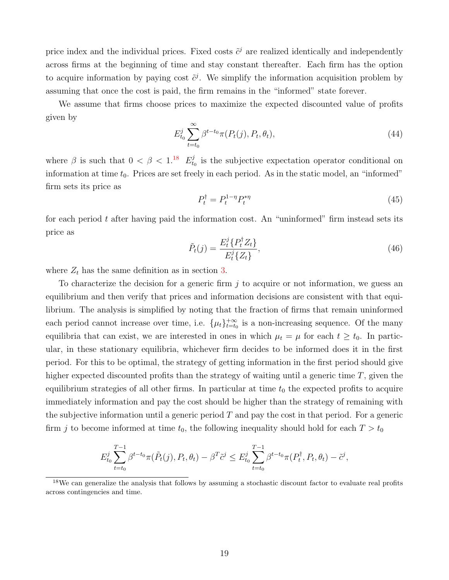price index and the individual prices. Fixed costs  $\tilde{c}^j$  are realized identically and independently across firms at the beginning of time and stay constant thereafter. Each firm has the option to acquire information by paying cost  $\tilde{c}^j$ . We simplify the information acquisition problem by assuming that once the cost is paid, the firm remains in the "informed" state forever.

We assume that firms choose prices to maximize the expected discounted value of profits given by

$$
E_{t_0}^j \sum_{t=t_0}^{\infty} \beta^{t-t_0} \pi(P_t(j), P_t, \theta_t), \tag{44}
$$

where  $\beta$  is such that  $0 < \beta < 1$ .<sup>[18](#page-19-0)</sup>  $E_{tt}^{j}$  $t_0$  is the subjective expectation operator conditional on information at time  $t_0$ . Prices are set freely in each period. As in the static model, an "informed" firm sets its price as

$$
P_t^{\dagger} = P_t^{1-\eta} P_t^{*\eta} \tag{45}
$$

for each period  $t$  after having paid the information cost. An "uninformed" firm instead sets its price as

$$
\tilde{P}_t(j) = \frac{E_t^j \{ P_t^{\dagger} Z_t \}}{E_t^j \{ Z_t \}},\tag{46}
$$

where  $Z_t$  has the same definition as in section [3.](#page-5-0)

To characterize the decision for a generic firm  $j$  to acquire or not information, we guess an equilibrium and then verify that prices and information decisions are consistent with that equilibrium. The analysis is simplified by noting that the fraction of firms that remain uninformed each period cannot increase over time, i.e.  $\{\mu_t\}_{t=t_0}^{+\infty}$  is a non-increasing sequence. Of the many equilibria that can exist, we are interested in ones in which  $\mu_t = \mu$  for each  $t \ge t_0$ . In particular, in these stationary equilibria, whichever firm decides to be informed does it in the first period. For this to be optimal, the strategy of getting information in the first period should give higher expected discounted profits than the strategy of waiting until a generic time  $T$ , given the equilibrium strategies of all other firms. In particular at time  $t_0$  the expected profits to acquire immediately information and pay the cost should be higher than the strategy of remaining with the subjective information until a generic period  $T$  and pay the cost in that period. For a generic firm j to become informed at time  $t_0$ , the following inequality should hold for each  $T > t_0$ 

$$
E_{t_0}^j \sum_{t=t_0}^{T-1} \beta^{t-t_0} \pi(\tilde{P}_t(j), P_t, \theta_t) - \beta^T \tilde{c}^j \le E_{t_0}^j \sum_{t=t_0}^{T-1} \beta^{t-t_0} \pi(P_t^{\dagger}, P_t, \theta_t) - \tilde{c}^j,
$$

<span id="page-19-0"></span><sup>&</sup>lt;sup>18</sup>We can generalize the analysis that follows by assuming a stochastic discount factor to evaluate real profits across contingencies and time.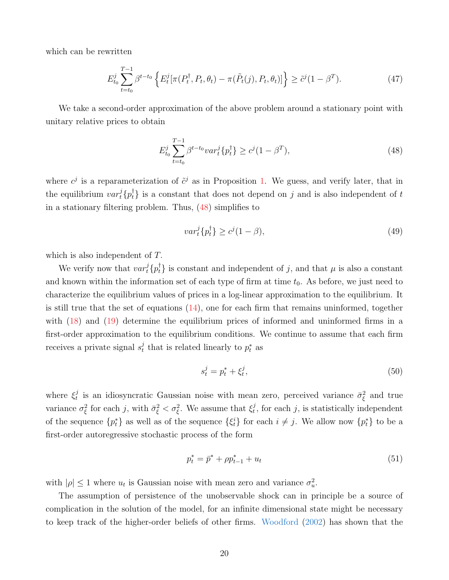which can be rewritten

<span id="page-20-3"></span>
$$
E_{t_0}^j \sum_{t=t_0}^{T-1} \beta^{t-t_0} \left\{ E_t^j[\pi(P_t^{\dagger}, P_t, \theta_t) - \pi(\tilde{P}_t(j), P_t, \theta_t)] \right\} \geq \tilde{c}^j (1 - \beta^T). \tag{47}
$$

We take a second-order approximation of the above problem around a stationary point with unitary relative prices to obtain

<span id="page-20-0"></span>
$$
E_{t_0}^j \sum_{t=t_0}^{T-1} \beta^{t-t_0} var_t^j \{ p_t^{\dagger} \} \ge c^j (1 - \beta^T), \tag{48}
$$

where  $c^j$  is a reparameterization of  $\tilde{c}^j$  as in Proposition [1.](#page-9-4) We guess, and verify later, that in the equilibrium  $var_t^j\{p_t^{\dagger}\}\$ is a constant that does not depend on j and is also independent of t in a stationary filtering problem. Thus, [\(48\)](#page-20-0) simplifies to

<span id="page-20-1"></span>
$$
var_t^j\{p_t^{\dagger}\} \ge c^j(1-\beta),\tag{49}
$$

which is also independent of T.

We verify now that  $var_t^j\{p_t^{\dagger}\}\$ is constant and independent of j, and that  $\mu$  is also a constant and known within the information set of each type of firm at time  $t_0$ . As before, we just need to characterize the equilibrium values of prices in a log-linear approximation to the equilibrium. It is still true that the set of equations  $(14)$ , one for each firm that remains uninformed, together with [\(18\)](#page-10-6) and [\(19\)](#page-10-4) determine the equilibrium prices of informed and uninformed firms in a first-order approximation to the equilibrium conditions. We continue to assume that each firm receives a private signal  $s_t^j$  $t_t$ <sup>*t*</sup> that is related linearly to  $p_t^*$  as

$$
s_t^j = p_t^* + \xi_t^j,\tag{50}
$$

where  $\xi_t^j$  $\sigma_t^j$  is an idiosyncratic Gaussian noise with mean zero, perceived variance  $\bar{\sigma}_{\xi}^2$  and true variance  $\sigma_{\xi}^2$  for each j, with  $\bar{\sigma}_{\xi}^2 < \sigma_{\xi}^2$ . We assume that  $\xi_t^j$  $t<sub>t</sub>$ , for each j, is statistically independent of the sequence  $\{p_t^*\}$  as well as of the sequence  $\{\xi_t^i\}$  for each  $i \neq j$ . We allow now  $\{p_t^*\}$  to be a first-order autoregressive stochastic process of the form

<span id="page-20-2"></span>
$$
p_t^* = \bar{p}^* + \rho p_{t-1}^* + u_t \tag{51}
$$

with  $|\rho| \leq 1$  where  $u_t$  is Gaussian noise with mean zero and variance  $\sigma_u^2$ .

The assumption of persistence of the unobservable shock can in principle be a source of complication in the solution of the model, for an infinite dimensional state might be necessary to keep track of the higher-order beliefs of other firms. [Woodford](#page-48-3) [\(2002\)](#page-48-3) has shown that the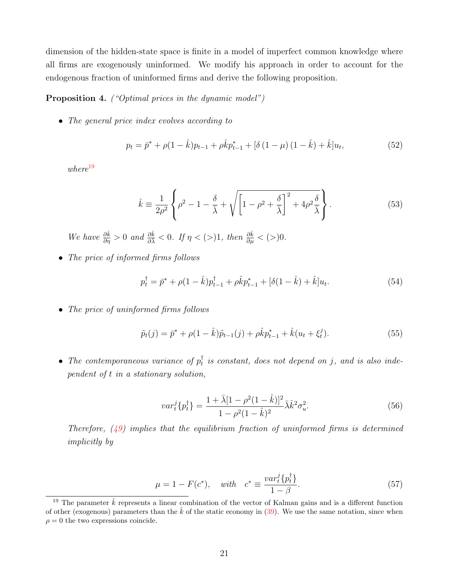dimension of the hidden-state space is finite in a model of imperfect common knowledge where all firms are exogenously uninformed. We modify his approach in order to account for the endogenous fraction of uninformed firms and derive the following proposition.

#### <span id="page-21-5"></span>Proposition 4. ("Optimal prices in the dynamic model")

• The general price index evolves according to

<span id="page-21-3"></span>
$$
p_t = \bar{p}^* + \rho (1 - \hat{k}) p_{t-1} + \rho \hat{k} p_{t-1}^* + [\delta (1 - \mu) (1 - \hat{k}) + \hat{k}] u_t,
$$
\n(52)

 $where$ <sup>[19](#page-21-0)</sup>

<span id="page-21-4"></span>
$$
\hat{k} \equiv \frac{1}{2\rho^2} \left\{ \rho^2 - 1 - \frac{\delta}{\bar{\lambda}} + \sqrt{\left[1 - \rho^2 + \frac{\delta}{\bar{\lambda}}\right]^2 + 4\rho^2 \frac{\delta}{\bar{\lambda}}} \right\}.
$$
\n(53)

We have  $\frac{\partial \hat{k}}{\partial \eta} > 0$  and  $\frac{\partial \hat{k}}{\partial \lambda} < 0$ . If  $\eta < (>)1$ , then  $\frac{\partial \hat{k}}{\partial \mu} < (>)0$ .

• The price of informed firms follows

<span id="page-21-6"></span>
$$
p_t^{\dagger} = \bar{p}^* + \rho (1 - \hat{k}) p_{t-1}^{\dagger} + \rho \hat{k} p_{t-1}^* + [\delta (1 - \hat{k}) + \hat{k}] u_t.
$$
 (54)

• The price of uninformed firms follows

<span id="page-21-7"></span>
$$
\tilde{p}_t(j) = \bar{p}^* + \rho(1 - \hat{k})\tilde{p}_{t-1}(j) + \rho \hat{k} p_{t-1}^* + \hat{k}(u_t + \xi_t^j).
$$
\n(55)

• The contemporaneous variance of  $p_t^{\dagger}$  $_t^{\dagger}$  is constant, does not depend on j, and is also independent of t in a stationary solution,

<span id="page-21-2"></span>
$$
var_t^j\{p_t^{\dagger}\} = \frac{1 + \bar{\lambda}[1 - \rho^2(1 - \hat{k})]^2}{1 - \rho^2(1 - \hat{k})^2} \bar{\lambda}\hat{k}^2 \sigma_u^2.
$$
 (56)

Therefore,  $(49)$  implies that the equilibrium fraction of uninformed firms is determined implicitly by

<span id="page-21-1"></span>
$$
\mu = 1 - F(c^*), \quad with \quad c^* \equiv \frac{var_t^i \{p_t^{\dagger}\}}{1 - \beta}.
$$
\n
$$
(57)
$$

<span id="page-21-0"></span><sup>&</sup>lt;sup>19</sup> The parameter  $\hat{k}$  represents a linear combination of the vector of Kalman gains and is a different function of other (exogenous) parameters than the  $k$  of the static economy in [\(39\)](#page-17-1). We use the same notation, since when  $\rho = 0$  the two expressions coincide.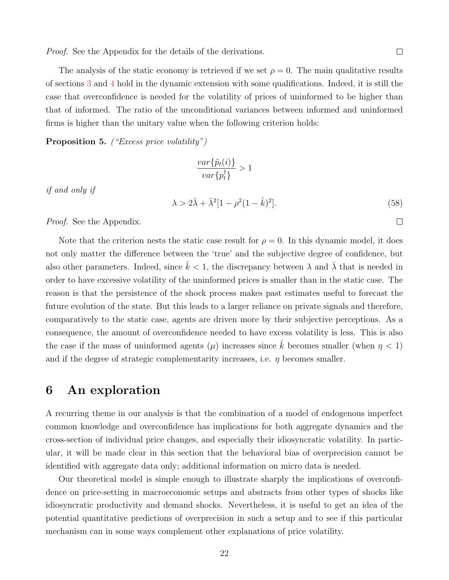Proof. See the Appendix for the details of the derivations.

 $\Box$ 

The analysis of the static economy is retrieved if we set  $\rho = 0$ . The main qualitative results of sections [3](#page-5-0) and [4](#page-16-0) hold in the dynamic extension with some qualifications. Indeed, it is still the case that overconfidence is needed for the volatility of prices of uninformed to be higher than that of informed. The ratio of the unconditional variances between informed and uninformed firms is higher than the unitary value when the following criterion holds:

<span id="page-22-1"></span>Proposition 5. ("Excess price volatility")

$$
\frac{var\{\tilde{p}_t(i)\}}{var\{p_t^\dagger\}}>1
$$

if and only if

<span id="page-22-2"></span>
$$
\lambda > 2\bar{\lambda} + \bar{\lambda}^2 [1 - \rho^2 (1 - \hat{k})^2].
$$
\n(58)

*Proof.* See the Appendix.

Note that the criterion nests the static case result for  $\rho = 0$ . In this dynamic model, it does not only matter the difference between the 'true' and the subjective degree of confidence, but also other parameters. Indeed, since  $\hat{k} < 1$ , the discrepancy between  $\lambda$  and  $\bar{\lambda}$  that is needed in order to have excessive volatility of the uninformed prices is smaller than in the static case. The reason is that the persistence of the shock process makes past estimates useful to forecast the future evolution of the state. But this leads to a larger reliance on private signals and therefore, comparatively to the static case, agents are driven more by their subjective perceptions. As a consequence, the amount of overconfidence needed to have excess volatility is less. This is also the case if the mass of uninformed agents ( $\mu$ ) increases since  $\hat{k}$  becomes smaller (when  $\eta < 1$ ) and if the degree of strategic complementarity increases, i.e.  $\eta$  becomes smaller.

# <span id="page-22-0"></span>6 An exploration

A recurring theme in our analysis is that the combination of a model of endogenous imperfect common knowledge and overconfidence has implications for both aggregate dynamics and the cross-section of individual price changes, and especially their idiosyncratic volatility. In particular, it will be made clear in this section that the behavioral bias of overprecision cannot be identified with aggregate data only; additional information on micro data is needed.

Our theoretical model is simple enough to illustrate sharply the implications of overconfidence on price-setting in macroeconomic setups and abstracts from other types of shocks like idiosyncratic productivity and demand shocks. Nevertheless, it is useful to get an idea of the potential quantitative predictions of overprecision in such a setup and to see if this particular mechanism can in some ways complement other explanations of price volatility.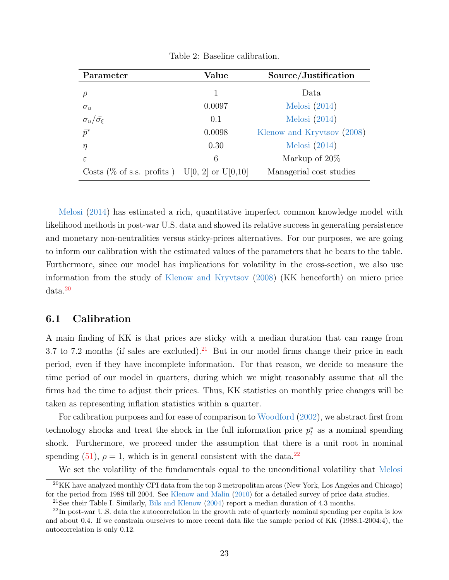| Parameter                                    | Value  | Source/Justification       |  |  |
|----------------------------------------------|--------|----------------------------|--|--|
|                                              |        | Data                       |  |  |
| $\sigma_u$                                   | 0.0097 | Melosi $(2014)$            |  |  |
| $\sigma_u/\bar{\sigma_{\xi}}$                | 0.1    | Melosi $(2014)$            |  |  |
| $\bar{p}^*$                                  | 0.0098 | Klenow and Kryvtsov (2008) |  |  |
| $\eta$                                       | 0.30   | Melosi $(2014)$            |  |  |
| $\varepsilon$                                | 6      | Markup of 20%              |  |  |
| Costs (% of s.s. profits) U[0, 2] or U[0,10] |        | Managerial cost studies    |  |  |

<span id="page-23-3"></span>Table 2: Baseline calibration.

[Melosi](#page-47-2) [\(2014\)](#page-47-2) has estimated a rich, quantitative imperfect common knowledge model with likelihood methods in post-war U.S. data and showed its relative success in generating persistence and monetary non-neutralities versus sticky-prices alternatives. For our purposes, we are going to inform our calibration with the estimated values of the parameters that he bears to the table. Furthermore, since our model has implications for volatility in the cross-section, we also use information from the study of [Klenow and Kryvtsov](#page-47-0) [\(2008\)](#page-47-0) (KK henceforth) on micro price data.[20](#page-23-0)

## 6.1 Calibration

A main finding of KK is that prices are sticky with a median duration that can range from 3.7 to 7.2 months (if sales are excluded).<sup>[21](#page-23-1)</sup> But in our model firms change their price in each period, even if they have incomplete information. For that reason, we decide to measure the time period of our model in quarters, during which we might reasonably assume that all the firms had the time to adjust their prices. Thus, KK statistics on monthly price changes will be taken as representing inflation statistics within a quarter.

For calibration purposes and for ease of comparison to [Woodford](#page-48-3) [\(2002\)](#page-48-3), we abstract first from technology shocks and treat the shock in the full information price  $p_t^*$  as a nominal spending shock. Furthermore, we proceed under the assumption that there is a unit root in nominal spending [\(51\)](#page-20-2),  $\rho = 1$ , which is in general consistent with the data.<sup>[22](#page-23-2)</sup>

<span id="page-23-0"></span>We set the volatility of the fundamentals equal to the unconditional volatility that [Melosi](#page-47-2)

 $^{20}$ KK have analyzed monthly CPI data from the top 3 metropolitan areas (New York, Los Angeles and Chicago) for the period from 1988 till 2004. See [Klenow and Malin](#page-47-13) [\(2010\)](#page-47-13) for a detailed survey of price data studies.

<span id="page-23-2"></span><span id="page-23-1"></span><sup>&</sup>lt;sup>21</sup>See their Table I. Similarly, [Bils and Klenow](#page-45-11)  $(2004)$  report a median duration of 4.3 months.

<sup>22</sup>In post-war U.S. data the autocorrelation in the growth rate of quarterly nominal spending per capita is low and about 0.4. If we constrain ourselves to more recent data like the sample period of KK (1988:1-2004:4), the autocorrelation is only 0.12.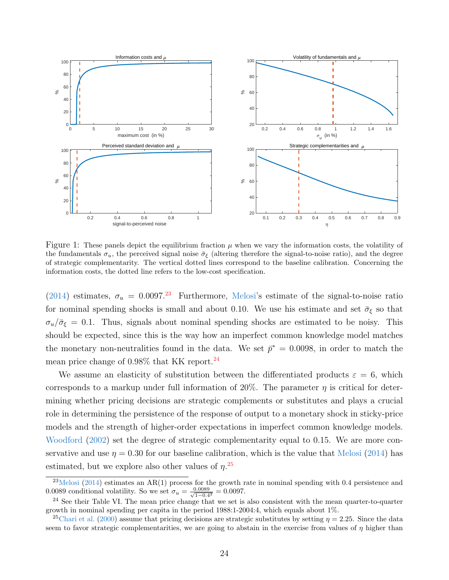

<span id="page-24-3"></span>Figure 1: These panels depict the equilibrium fraction  $\mu$  when we vary the information costs, the volatility of the fundamentals  $\sigma_u$ , the perceived signal noise  $\bar{\sigma}_{\xi}$  (altering therefore the signal-to-noise ratio), and the degree of strategic complementarity. The vertical dotted lines correspond to the baseline calibration. Concerning the information costs, the dotted line refers to the low-cost specification.

[\(2014\)](#page-47-2) estimates,  $\sigma_u = 0.0097.^{23}$  $\sigma_u = 0.0097.^{23}$  $\sigma_u = 0.0097.^{23}$  Furthermore, [Melosi'](#page-47-2)s estimate of the signal-to-noise ratio for nominal spending shocks is small and about 0.10. We use his estimate and set  $\bar{\sigma}_{\xi}$  so that  $\sigma_u/\bar{\sigma}_{\xi} = 0.1$ . Thus, signals about nominal spending shocks are estimated to be noisy. This should be expected, since this is the way how an imperfect common knowledge model matches the monetary non-neutralities found in the data. We set  $\bar{p}^* = 0.0098$ , in order to match the mean price change of 0.98% that KK report.[24](#page-24-1)

We assume an elasticity of substitution between the differentiated products  $\varepsilon = 6$ , which corresponds to a markup under full information of  $20\%$ . The parameter  $\eta$  is critical for determining whether pricing decisions are strategic complements or substitutes and plays a crucial role in determining the persistence of the response of output to a monetary shock in sticky-price models and the strength of higher-order expectations in imperfect common knowledge models. [Woodford](#page-48-3) [\(2002\)](#page-48-3) set the degree of strategic complementarity equal to 0.15. We are more conservative and use  $\eta = 0.30$  for our baseline calibration, which is the value that [Melosi](#page-47-2) [\(2014\)](#page-47-2) has estimated, but we explore also other values of  $\eta$ <sup>[25](#page-24-2)</sup>

<span id="page-24-0"></span> $^{23}$ [Melosi](#page-47-2) [\(2014\)](#page-47-2) estimates an AR(1) process for the growth rate in nominal spending with 0.4 persistence and 0.0089 conditional volatility. So we set  $\sigma_u = \frac{0.0089}{\sqrt{1-0.4}}$  $\frac{1.0089}{1-0.4^2} = 0.0097.$ 

<span id="page-24-1"></span><sup>&</sup>lt;sup>24</sup> See their Table VI. The mean price change that we set is also consistent with the mean quarter-to-quarter growth in nominal spending per capita in the period 1988:1-2004:4, which equals about 1%.

<span id="page-24-2"></span><sup>&</sup>lt;sup>25</sup>[Chari et al.](#page-46-12) [\(2000\)](#page-46-12) assume that pricing decisions are strategic substitutes by setting  $\eta = 2.25$ . Since the data seem to favor strategic complementarities, we are going to abstain in the exercise from values of  $\eta$  higher than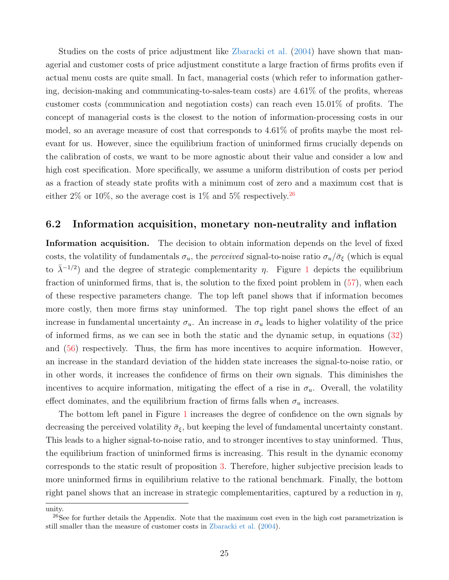Studies on the costs of price adjustment like [Zbaracki et al.](#page-49-0) [\(2004\)](#page-49-0) have shown that managerial and customer costs of price adjustment constitute a large fraction of firms profits even if actual menu costs are quite small. In fact, managerial costs (which refer to information gathering, decision-making and communicating-to-sales-team costs) are 4.61% of the profits, whereas customer costs (communication and negotiation costs) can reach even 15.01% of profits. The concept of managerial costs is the closest to the notion of information-processing costs in our model, so an average measure of cost that corresponds to 4.61% of profits maybe the most relevant for us. However, since the equilibrium fraction of uninformed firms crucially depends on the calibration of costs, we want to be more agnostic about their value and consider a low and high cost specification. More specifically, we assume a uniform distribution of costs per period as a fraction of steady state profits with a minimum cost of zero and a maximum cost that is either 2% or 10%, so the average cost is 1% and 5% respectively.<sup>[26](#page-25-0)</sup>

## 6.2 Information acquisition, monetary non-neutrality and inflation

Information acquisition. The decision to obtain information depends on the level of fixed costs, the volatility of fundamentals  $\sigma_u$ , the *perceived* signal-to-noise ratio  $\sigma_u/\bar{\sigma}_{\xi}$  (which is equal to  $\bar{\lambda}^{-1/2}$  $\bar{\lambda}^{-1/2}$  $\bar{\lambda}^{-1/2}$  and the degree of strategic complementarity  $\eta$ . Figure 1 depicts the equilibrium fraction of uninformed firms, that is, the solution to the fixed point problem in [\(57\)](#page-21-1), when each of these respective parameters change. The top left panel shows that if information becomes more costly, then more firms stay uninformed. The top right panel shows the effect of an increase in fundamental uncertainty  $\sigma_u$ . An increase in  $\sigma_u$  leads to higher volatility of the price of informed firms, as we can see in both the static and the dynamic setup, in equations [\(32\)](#page-14-0) and [\(56\)](#page-21-2) respectively. Thus, the firm has more incentives to acquire information. However, an increase in the standard deviation of the hidden state increases the signal-to-noise ratio, or in other words, it increases the confidence of firms on their own signals. This diminishes the incentives to acquire information, mitigating the effect of a rise in  $\sigma_u$ . Overall, the volatility effect dominates, and the equilibrium fraction of firms falls when  $\sigma_u$  increases.

The bottom left panel in Figure [1](#page-24-3) increases the degree of confidence on the own signals by decreasing the perceived volatility  $\bar{\sigma}_{\xi}$ , but keeping the level of fundamental uncertainty constant. This leads to a higher signal-to-noise ratio, and to stronger incentives to stay uninformed. Thus, the equilibrium fraction of uninformed firms is increasing. This result in the dynamic economy corresponds to the static result of proposition [3.](#page-15-1) Therefore, higher subjective precision leads to more uninformed firms in equilibrium relative to the rational benchmark. Finally, the bottom right panel shows that an increase in strategic complementarities, captured by a reduction in  $\eta$ ,

unity.

<span id="page-25-0"></span> $^{26}$ See for further details the Appendix. Note that the maximum cost even in the high cost parametrization is still smaller than the measure of customer costs in [Zbaracki et al.](#page-49-0) [\(2004\)](#page-49-0).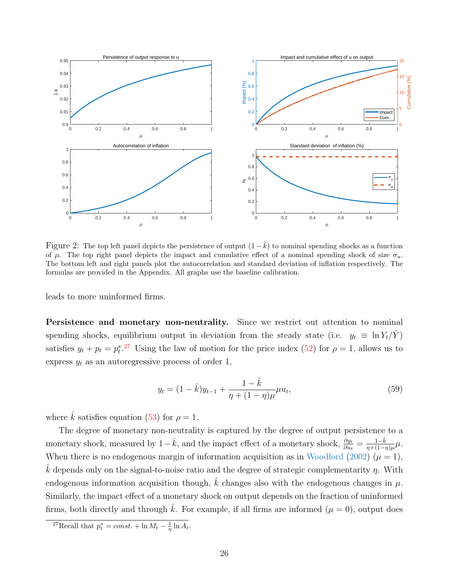

<span id="page-26-1"></span>Figure 2: The top left panel depicts the persistence of output  $(1 - \hat{k})$  to nominal spending shocks as a function of  $\mu$ . The top right panel depicts the impact and cumulative effect of a nominal spending shock of size  $\sigma_u$ . The bottom left and right panels plot the autocorrelation and standard deviation of inflation respectively. The formulas are provided in the Appendix. All graphs use the baseline calibration.

leads to more uninformed firms.

Persistence and monetary non-neutrality. Since we restrict out attention to nominal spending shocks, equilibrium output in deviation from the steady state (i.e.  $y_t \equiv \ln Y_t/Y$ ) satisfies  $y_t + p_t = p_t^*^{27}$  $y_t + p_t = p_t^*^{27}$  $y_t + p_t = p_t^*^{27}$  Using the law of motion for the price index [\(52\)](#page-21-3) for  $\rho = 1$ , allows us to express  $y_t$  as an autoregressive process of order 1,

<span id="page-26-2"></span>
$$
y_t = (1 - \hat{k})y_{t-1} + \frac{1 - \hat{k}}{\eta + (1 - \eta)\mu}\mu u_t,
$$
\n(59)

where  $\hat{k}$  satisfies equation [\(53\)](#page-21-4) for  $\rho = 1$ .

The degree of monetary non-neutrality is captured by the degree of output persistence to a monetary shock, measured by  $1-\hat{k}$ , and the impact effect of a monetary shock,  $\frac{\partial y_t}{\partial u_t} = \frac{1-\hat{k}}{\eta + (1-i)}$  $\frac{1-k}{\eta+(1-\eta)\mu}\mu.$ When there is no endogenous margin of information acquisition as in [Woodford](#page-48-3) [\(2002\)](#page-48-3) ( $\mu = 1$ ), k depends only on the signal-to-noise ratio and the degree of strategic complementarity  $\eta$ . With endogenous information acquisition though,  $\hat{k}$  changes also with the endogenous changes in  $\mu$ . Similarly, the impact effect of a monetary shock on output depends on the fraction of uninformed firms, both directly and through  $\hat{k}$ . For example, if all firms are informed  $(\mu = 0)$ , output does

<span id="page-26-0"></span><sup>&</sup>lt;sup>27</sup>Recall that  $p_t^* = const. + \ln M_t - \frac{1}{\eta} \ln A_t$ .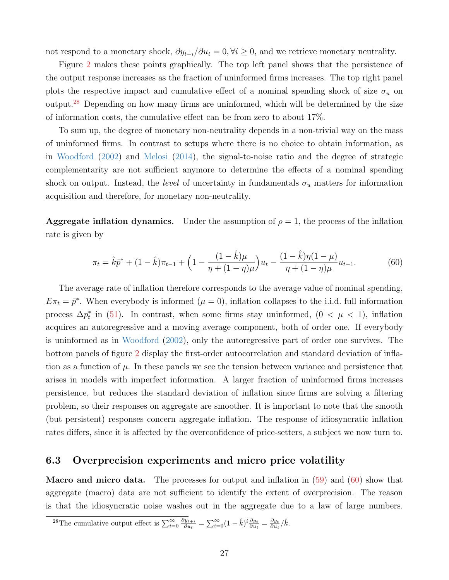not respond to a monetary shock,  $\partial y_{t+i}/\partial u_t = 0$ ,  $\forall i \geq 0$ , and we retrieve monetary neutrality.

Figure [2](#page-26-1) makes these points graphically. The top left panel shows that the persistence of the output response increases as the fraction of uninformed firms increases. The top right panel plots the respective impact and cumulative effect of a nominal spending shock of size  $\sigma_u$  on output.[28](#page-27-0) Depending on how many firms are uninformed, which will be determined by the size of information costs, the cumulative effect can be from zero to about 17%.

To sum up, the degree of monetary non-neutrality depends in a non-trivial way on the mass of uninformed firms. In contrast to setups where there is no choice to obtain information, as in [Woodford](#page-48-3) [\(2002\)](#page-48-3) and [Melosi](#page-47-2) [\(2014\)](#page-47-2), the signal-to-noise ratio and the degree of strategic complementarity are not sufficient anymore to determine the effects of a nominal spending shock on output. Instead, the *level* of uncertainty in fundamentals  $\sigma_u$  matters for information acquisition and therefore, for monetary non-neutrality.

**Aggregate inflation dynamics.** Under the assumption of  $\rho = 1$ , the process of the inflation rate is given by

<span id="page-27-1"></span>
$$
\pi_t = \hat{k}\bar{p}^* + (1 - \hat{k})\pi_{t-1} + \left(1 - \frac{(1 - \hat{k})\mu}{\eta + (1 - \eta)\mu}\right)u_t - \frac{(1 - \hat{k})\eta(1 - \mu)}{\eta + (1 - \eta)\mu}u_{t-1}.
$$
(60)

The average rate of inflation therefore corresponds to the average value of nominal spending,  $E\pi_t = \bar{p}^*$ . When everybody is informed  $(\mu = 0)$ , inflation collapses to the i.i.d. full information process  $\Delta p_t^*$  in [\(51\)](#page-20-2). In contrast, when some firms stay uninformed,  $(0 < \mu < 1)$ , inflation acquires an autoregressive and a moving average component, both of order one. If everybody is uninformed as in [Woodford](#page-48-3) [\(2002\)](#page-48-3), only the autoregressive part of order one survives. The bottom panels of figure [2](#page-26-1) display the first-order autocorrelation and standard deviation of inflation as a function of  $\mu$ . In these panels we see the tension between variance and persistence that arises in models with imperfect information. A larger fraction of uninformed firms increases persistence, but reduces the standard deviation of inflation since firms are solving a filtering problem, so their responses on aggregate are smoother. It is important to note that the smooth (but persistent) responses concern aggregate inflation. The response of idiosyncratic inflation rates differs, since it is affected by the overconfidence of price-setters, a subject we now turn to.

## 6.3 Overprecision experiments and micro price volatility

**Macro and micro data.** The processes for output and inflation in  $(59)$  and  $(60)$  show that aggregate (macro) data are not sufficient to identify the extent of overprecision. The reason is that the idiosyncratic noise washes out in the aggregate due to a law of large numbers.

<span id="page-27-0"></span><sup>&</sup>lt;sup>28</sup>The cumulative output effect is  $\sum_{i=0}^{\infty} \frac{\partial y_{t+i}}{\partial u_t}$  $\frac{\partial y_{t+i}}{\partial u_t} = \sum_{i=0}^{\infty} (1 - \hat{k})^i \frac{\partial y_t}{\partial u_t} = \frac{\partial y_t}{\partial u_t} / \hat{k}.$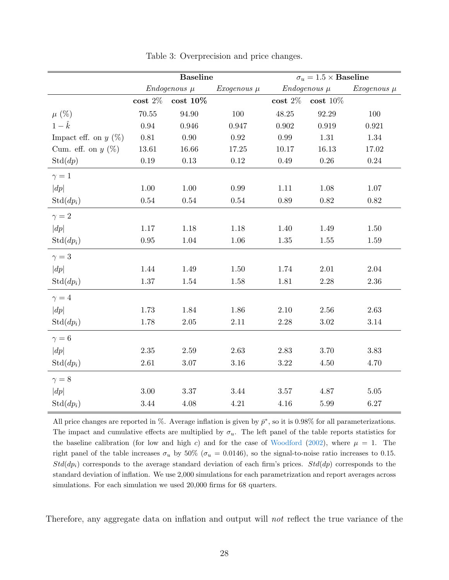|                        | <b>Baseline</b>    |            |                 | $\sigma_u = 1.5 \times$ Baseline |                     |                 |  |
|------------------------|--------------------|------------|-----------------|----------------------------------|---------------------|-----------------|--|
|                        | $Endogenous~\mu$   |            | $Exogenous \mu$ | $Endogenous~\mu$                 |                     | Exogenous $\mu$ |  |
|                        | $\textbf{cost}$ 2% | $cost$ 10% |                 | $\textbf{cost}$ 2%               | $\textbf{cost}$ 10% |                 |  |
| $\mu$ (%)              | $70.55\,$          | $94.90\,$  | 100             | 48.25                            | 92.29               | 100             |  |
| $1-\hat{k}$            | 0.94               | 0.946      | 0.947           | 0.902                            | 0.919               | 0.921           |  |
| Impact eff. on $y(\%)$ | $0.81\,$           | 0.90       | $\rm 0.92$      | 0.99                             | 1.31                | 1.34            |  |
| Cum. eff. on $y(\%)$   | 13.61              | 16.66      | 17.25           | 10.17                            | 16.13               | 17.02           |  |
| $\mathrm{Std}(dp)$     | $0.19\,$           | $0.13\,$   | 0.12            | $0.49\,$                         | 0.26                | 0.24            |  |
| $\gamma=1$             |                    |            |                 |                                  |                     |                 |  |
| dp                     | $1.00\,$           | $1.00\,$   | $0.99\,$        | 1.11                             | 1.08                | $1.07\,$        |  |
| $Std(dp_i)$            | $0.54\,$           | $0.54\,$   | $0.54\,$        | 0.89                             | 0.82                | $0.82\,$        |  |
| $\gamma = 2$           |                    |            |                 |                                  |                     |                 |  |
| dp                     | $1.17\,$           | 1.18       | 1.18            | 1.40                             | 1.49                | 1.50            |  |
| $Std(dp_i)$            | $0.95\,$           | $1.04\,$   | $1.06\,$        | $1.35\,$                         | $1.55\,$            | $1.59\,$        |  |
| $\gamma = 3$           |                    |            |                 |                                  |                     |                 |  |
| dp                     | 1.44               | 1.49       | $1.50\,$        | 1.74                             | $2.01\,$            | $2.04\,$        |  |
| $Std(dp_i)$            | $1.37\,$           | 1.54       | 1.58            | 1.81                             | $2.28\,$            | $2.36\,$        |  |
| $\gamma = 4$           |                    |            |                 |                                  |                     |                 |  |
| dp                     | 1.73               | 1.84       | 1.86            | $2.10\,$                         | $2.56\,$            | 2.63            |  |
| $Std(dp_i)$            | 1.78               | $2.05\,$   | $2.11\,$        | $2.28\,$                         | $3.02\,$            | $3.14\,$        |  |
| $\gamma = 6$           |                    |            |                 |                                  |                     |                 |  |
| dp                     | $2.35\,$           | $2.59\,$   | 2.63            | $2.83\,$                         | 3.70                | 3.83            |  |
| $Std(dp_i)$            | 2.61               | $3.07\,$   | $3.16\,$        | $3.22\,$                         | 4.50                | 4.70            |  |
| $\gamma = 8$           |                    |            |                 |                                  |                     |                 |  |
| dp                     | $3.00\,$           | $3.37\,$   | $3.44\,$        | $3.57\,$                         | 4.87                | $5.05\,$        |  |
| $Std(dp_i)$            | $3.44\,$           | 4.08       | $4.21\,$        | $4.16\,$                         | $5.99\,$            | $6.27\,$        |  |

<span id="page-28-0"></span>Table 3: Overprecision and price changes.

All price changes are reported in %. Average inflation is given by  $\bar{p}^*$ , so it is 0.98% for all parameterizations. The impact and cumulative effects are multiplied by  $\sigma_u$ . The left panel of the table reports statistics for the baseline calibration (for low and high c) and for the case of [Woodford](#page-48-3) [\(2002\)](#page-48-3), where  $\mu = 1$ . The right panel of the table increases  $\sigma_u$  by 50% ( $\sigma_u = 0.0146$ ), so the signal-to-noise ratio increases to 0.15.  $Std(dp_i)$  corresponds to the average standard deviation of each firm's prices.  $Std(dp)$  corresponds to the standard deviation of inflation. We use 2,000 simulations for each parametrization and report averages across simulations. For each simulation we used 20,000 firms for 68 quarters.

Therefore, any aggregate data on inflation and output will not reflect the true variance of the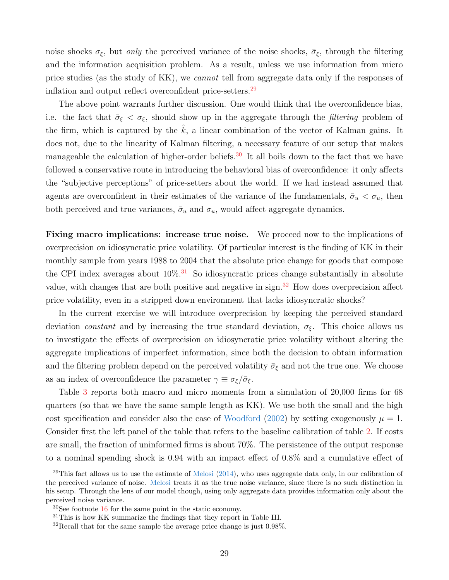noise shocks  $\sigma_{\xi}$ , but *only* the perceived variance of the noise shocks,  $\bar{\sigma}_{\xi}$ , through the filtering and the information acquisition problem. As a result, unless we use information from micro price studies (as the study of KK), we cannot tell from aggregate data only if the responses of inflation and output reflect overconfident price-setters.<sup>[29](#page-29-0)</sup>

The above point warrants further discussion. One would think that the overconfidence bias, i.e. the fact that  $\bar{\sigma}_{\xi} < \sigma_{\xi}$ , should show up in the aggregate through the *filtering* problem of the firm, which is captured by the  $\hat{k}$ , a linear combination of the vector of Kalman gains. It does not, due to the linearity of Kalman filtering, a necessary feature of our setup that makes manageable the calculation of higher-order beliefs.<sup>[30](#page-29-1)</sup> It all boils down to the fact that we have followed a conservative route in introducing the behavioral bias of overconfidence: it only affects the "subjective perceptions" of price-setters about the world. If we had instead assumed that agents are overconfident in their estimates of the variance of the fundamentals,  $\bar{\sigma}_u < \sigma_u$ , then both perceived and true variances,  $\bar{\sigma}_u$  and  $\sigma_u$ , would affect aggregate dynamics.

Fixing macro implications: increase true noise. We proceed now to the implications of overprecision on idiosyncratic price volatility. Of particular interest is the finding of KK in their monthly sample from years 1988 to 2004 that the absolute price change for goods that compose the CPI index averages about  $10\%$ <sup>[31](#page-29-2)</sup> So idiosyncratic prices change substantially in absolute value, with changes that are both positive and negative in sign.<sup>[32](#page-29-3)</sup> How does overprecision affect price volatility, even in a stripped down environment that lacks idiosyncratic shocks?

In the current exercise we will introduce overprecision by keeping the perceived standard deviation constant and by increasing the true standard deviation,  $\sigma_{\xi}$ . This choice allows us to investigate the effects of overprecision on idiosyncratic price volatility without altering the aggregate implications of imperfect information, since both the decision to obtain information and the filtering problem depend on the perceived volatility  $\bar{\sigma}_{\xi}$  and not the true one. We choose as an index of overconfidence the parameter  $\gamma \equiv \sigma_{\xi}/\bar{\sigma}_{\xi}$ .

Table [3](#page-28-0) reports both macro and micro moments from a simulation of 20,000 firms for 68 quarters (so that we have the same sample length as KK). We use both the small and the high cost specification and consider also the case of [Woodford](#page-48-3) [\(2002\)](#page-48-3) by setting exogenously  $\mu = 1$ . Consider first the left panel of the table that refers to the baseline calibration of table [2.](#page-23-3) If costs are small, the fraction of uninformed firms is about 70%. The persistence of the output response to a nominal spending shock is 0.94 with an impact effect of 0.8% and a cumulative effect of

<span id="page-29-0"></span><sup>&</sup>lt;sup>29</sup>This fact allows us to use the estimate of [Melosi](#page-47-2)  $(2014)$ , who uses aggregate data only, in our calibration of the perceived variance of noise. [Melosi](#page-47-2) treats it as the true noise variance, since there is no such distinction in his setup. Through the lens of our model though, using only aggregate data provides information only about the perceived noise variance.

<span id="page-29-1"></span><sup>30</sup>See footnote [16](#page-14-2) for the same point in the static economy.

<span id="page-29-2"></span><sup>&</sup>lt;sup>31</sup>This is how KK summarize the findings that they report in Table III.

<span id="page-29-3"></span> $32$ Recall that for the same sample the average price change is just 0.98%.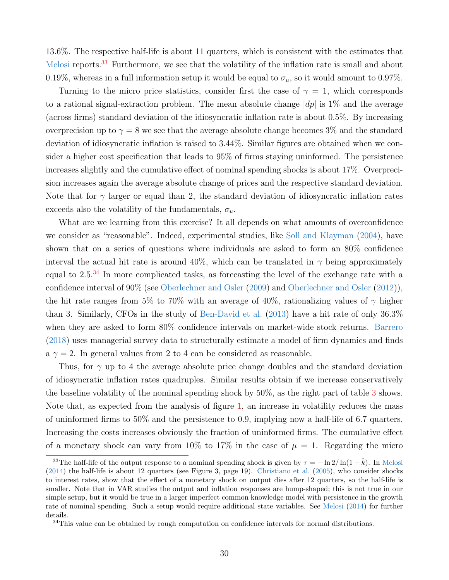13.6%. The respective half-life is about 11 quarters, which is consistent with the estimates that [Melosi](#page-47-2) reports.<sup>[33](#page-30-0)</sup> Furthermore, we see that the volatility of the inflation rate is small and about 0.19%, whereas in a full information setup it would be equal to  $\sigma_u$ , so it would amount to 0.97%.

Turning to the micro price statistics, consider first the case of  $\gamma = 1$ , which corresponds to a rational signal-extraction problem. The mean absolute change  $|dp|$  is 1% and the average (across firms) standard deviation of the idiosyncratic inflation rate is about 0.5%. By increasing overprecision up to  $\gamma = 8$  we see that the average absolute change becomes 3% and the standard deviation of idiosyncratic inflation is raised to 3.44%. Similar figures are obtained when we consider a higher cost specification that leads to 95% of firms staying uninformed. The persistence increases slightly and the cumulative effect of nominal spending shocks is about 17%. Overprecision increases again the average absolute change of prices and the respective standard deviation. Note that for  $\gamma$  larger or equal than 2, the standard deviation of idiosyncratic inflation rates exceeds also the volatility of the fundamentals,  $\sigma_u$ .

What are we learning from this exercise? It all depends on what amounts of overconfidence we consider as "reasonable". Indeed, experimental studies, like [Soll and Klayman](#page-48-10) [\(2004\)](#page-48-10), have shown that on a series of questions where individuals are asked to form an 80% confidence interval the actual hit rate is around 40%, which can be translated in  $\gamma$  being approximately equal to 2.5.<sup>[34](#page-30-1)</sup> In more complicated tasks, as forecasting the level of the exchange rate with a confidence interval of 90% (see [Oberlechner and Osler](#page-48-0) [\(2009\)](#page-48-0) and [Oberlechner and Osler](#page-48-1) [\(2012\)](#page-48-1)), the hit rate ranges from 5% to 70% with an average of 40%, rationalizing values of  $\gamma$  higher than 3. Similarly, CFOs in the study of [Ben-David et al.](#page-45-3) [\(2013\)](#page-45-3) have a hit rate of only 36.3% when they are asked to form 80% confidence intervals on market-wide stock returns. [Barrero](#page-45-2) [\(2018\)](#page-45-2) uses managerial survey data to structurally estimate a model of firm dynamics and finds a  $\gamma = 2$ . In general values from 2 to 4 can be considered as reasonable.

Thus, for  $\gamma$  up to 4 the average absolute price change doubles and the standard deviation of idiosyncratic inflation rates quadruples. Similar results obtain if we increase conservatively the baseline volatility of the nominal spending shock by 50%, as the right part of table [3](#page-28-0) shows. Note that, as expected from the analysis of figure [1,](#page-24-3) an increase in volatility reduces the mass of uninformed firms to 50% and the persistence to 0.9, implying now a half-life of 6.7 quarters. Increasing the costs increases obviously the fraction of uninformed firms. The cumulative effect of a monetary shock can vary from 10% to 17% in the case of  $\mu = 1$ . Regarding the micro

<span id="page-30-0"></span><sup>&</sup>lt;sup>33</sup>The half-life of the output response to a nominal spending shock is given by  $\tau = -\ln 2/\ln(1 - \hat{k})$ . In [Melosi](#page-47-2) [\(2014\)](#page-47-2) the half-life is about 12 quarters (see Figure 3, page 19). [Christiano et al.](#page-46-13) [\(2005\)](#page-46-13), who consider shocks to interest rates, show that the effect of a monetary shock on output dies after 12 quarters, so the half-life is smaller. Note that in VAR studies the output and inflation responses are hump-shaped; this is not true in our simple setup, but it would be true in a larger imperfect common knowledge model with persistence in the growth rate of nominal spending. Such a setup would require additional state variables. See [Melosi](#page-47-2) [\(2014\)](#page-47-2) for further details.

<span id="page-30-1"></span><sup>&</sup>lt;sup>34</sup>This value can be obtained by rough computation on confidence intervals for normal distributions.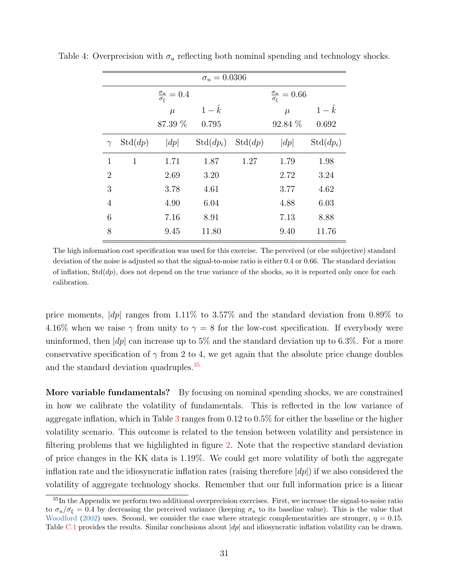<span id="page-31-1"></span>

| $\sigma_u = 0.0306$ |              |                                                   |                      |         |                                              |             |  |
|---------------------|--------------|---------------------------------------------------|----------------------|---------|----------------------------------------------|-------------|--|
|                     |              | $\frac{\sigma_u}{\bar{\sigma}_{\varepsilon}}=0.4$ |                      |         | $\frac{\sigma_u}{\bar{\sigma_{\xi}}} = 0.66$ |             |  |
|                     |              | $\mu$                                             | $1-\hat{k}$          |         | $\mu$                                        | $1-\hat{k}$ |  |
|                     |              | 87.39 %                                           | 0.795                |         | 92.84 %                                      | 0.692       |  |
| $\gamma$            | Std(dp)      | dp                                                | $\mathrm{Std}(dp_i)$ | Std(dp) | dp                                           | $Std(dp_i)$ |  |
| $\mathbf{1}$        | $\mathbf{1}$ | 1.71                                              | 1.87                 | 1.27    | 1.79                                         | 1.98        |  |
| $\overline{2}$      |              | 2.69                                              | 3.20                 |         | 2.72                                         | 3.24        |  |
| 3                   |              | 3.78                                              | 4.61                 |         | 3.77                                         | 4.62        |  |
| $\overline{4}$      |              | 4.90                                              | 6.04                 |         | 4.88                                         | 6.03        |  |
| 6                   |              | 7.16                                              | 8.91                 |         | 7.13                                         | 8.88        |  |
| 8                   |              | 9.45                                              | 11.80                |         | 9.40                                         | 11.76       |  |

Table 4: Overprecision with  $\sigma_u$  reflecting both nominal spending and technology shocks.

The high information cost specification was used for this exercise. The perceived (or else subjective) standard deviation of the noise is adjusted so that the signal-to-noise ratio is either 0.4 or 0.66. The standard deviation of inflation,  $Std(dp)$ , does not depend on the true variance of the shocks, so it is reported only once for each calibration.

price moments,  $|dp|$  ranges from 1.11% to 3.57% and the standard deviation from 0.89% to 4.16% when we raise  $\gamma$  from unity to  $\gamma = 8$  for the low-cost specification. If everybody were uninformed, then  $|dp|$  can increase up to 5% and the standard deviation up to 6.3%. For a more conservative specification of  $\gamma$  from 2 to 4, we get again that the absolute price change doubles and the standard deviation quadruples.<sup>[35](#page-31-0)</sup>

More variable fundamentals? By focusing on nominal spending shocks, we are constrained in how we calibrate the volatility of fundamentals. This is reflected in the low variance of aggregate inflation, which in Table [3](#page-28-0) ranges from 0.12 to 0.5% for either the baseline or the higher volatility scenario. This outcome is related to the tension between volatility and persistence in filtering problems that we highlighted in figure [2.](#page-26-1) Note that the respective standard deviation of price changes in the KK data is 1.19%. We could get more volatility of both the aggregate inflation rate and the idiosyncratic inflation rates (raising therefore  $|dp|$ ) if we also considered the volatility of aggregate technology shocks. Remember that our full information price is a linear

<span id="page-31-0"></span><sup>&</sup>lt;sup>35</sup>In the Appendix we perform two additional overprecision exercises. First, we increase the signal-to-noise ratio to  $\sigma_u/\bar{\sigma}_{\xi} = 0.4$  by decreasing the perceived variance (keeping  $\sigma_u$  to its baseline value). This is the value that [Woodford](#page-48-3) [\(2002\)](#page-48-3) uses. Second, we consider the case where strategic complementarities are stronger,  $\eta = 0.15$ . Table [C.1](#page-44-0) provides the results. Similar conclusions about  $\left|dp\right|$  and idiosyncratic inflation volatility can be drawn.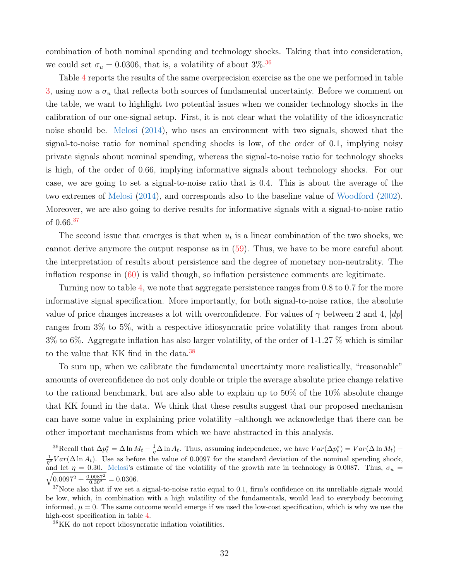combination of both nominal spending and technology shocks. Taking that into consideration, we could set  $\sigma_u = 0.0306$ , that is, a volatility of about 3%.<sup>[36](#page-32-0)</sup>

Table [4](#page-31-1) reports the results of the same overprecision exercise as the one we performed in table [3,](#page-28-0) using now a  $\sigma_u$  that reflects both sources of fundamental uncertainty. Before we comment on the table, we want to highlight two potential issues when we consider technology shocks in the calibration of our one-signal setup. First, it is not clear what the volatility of the idiosyncratic noise should be. [Melosi](#page-47-2) [\(2014\)](#page-47-2), who uses an environment with two signals, showed that the signal-to-noise ratio for nominal spending shocks is low, of the order of 0.1, implying noisy private signals about nominal spending, whereas the signal-to-noise ratio for technology shocks is high, of the order of 0.66, implying informative signals about technology shocks. For our case, we are going to set a signal-to-noise ratio that is 0.4. This is about the average of the two extremes of [Melosi](#page-47-2) [\(2014\)](#page-47-2), and corresponds also to the baseline value of [Woodford](#page-48-3) [\(2002\)](#page-48-3). Moreover, we are also going to derive results for informative signals with a signal-to-noise ratio of 0.66.[37](#page-32-1)

The second issue that emerges is that when  $u_t$  is a linear combination of the two shocks, we cannot derive anymore the output response as in [\(59\)](#page-26-2). Thus, we have to be more careful about the interpretation of results about persistence and the degree of monetary non-neutrality. The inflation response in  $(60)$  is valid though, so inflation persistence comments are legitimate.

Turning now to table [4,](#page-31-1) we note that aggregate persistence ranges from 0.8 to 0.7 for the more informative signal specification. More importantly, for both signal-to-noise ratios, the absolute value of price changes increases a lot with overconfidence. For values of  $\gamma$  between 2 and 4,  $|dp|$ ranges from 3% to 5%, with a respective idiosyncratic price volatility that ranges from about 3% to 6%. Aggregate inflation has also larger volatility, of the order of 1-1.27 % which is similar to the value that KK find in the data.[38](#page-32-2)

To sum up, when we calibrate the fundamental uncertainty more realistically, "reasonable" amounts of overconfidence do not only double or triple the average absolute price change relative to the rational benchmark, but are also able to explain up to 50% of the 10% absolute change that KK found in the data. We think that these results suggest that our proposed mechanism can have some value in explaining price volatility –although we acknowledge that there can be other important mechanisms from which we have abstracted in this analysis.

<span id="page-32-0"></span><sup>&</sup>lt;sup>36</sup>Recall that  $\Delta p_t^* = \Delta \ln M_t - \frac{1}{\eta} \Delta \ln A_t$ . Thus, assuming independence, we have  $Var(\Delta p_t^*) = Var(\Delta \ln M_t) +$  $\frac{1}{n^2} Var(\Delta \ln A_t)$ . Use as before the value of 0.0097 for the standard deviation of the nominal spending shock, and let  $\eta = 0.30$ . [Melosi'](#page-47-2)s estimate of the volatility of the growth rate in technology is 0.0087. Thus,  $\sigma_u$  =  $\sqrt{0.0097^2 + \frac{0.0087^2}{0.30^2}} = 0.0306.$ 

<span id="page-32-1"></span> $37$ Note also that if we set a signal-to-noise ratio equal to 0.1, firm's confidence on its unreliable signals would be low, which, in combination with a high volatility of the fundamentals, would lead to everybody becoming informed,  $\mu = 0$ . The same outcome would emerge if we used the low-cost specification, which is why we use the high-cost specification in table [4.](#page-31-1)

<span id="page-32-2"></span><sup>38</sup>KK do not report idiosyncratic inflation volatilities.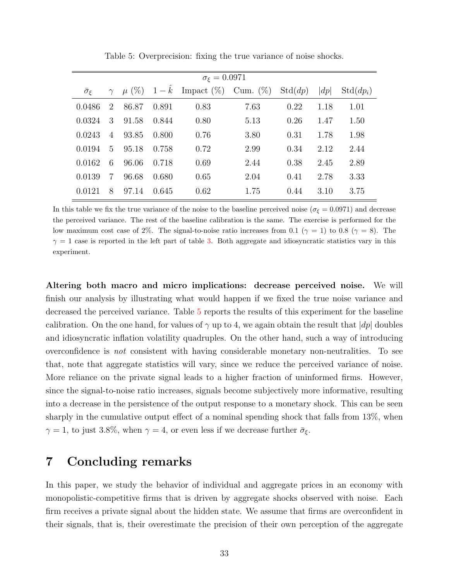| $\sigma_{\varepsilon}=0.0971$ |                |           |             |                           |      |         |      |                      |
|-------------------------------|----------------|-----------|-------------|---------------------------|------|---------|------|----------------------|
| $\bar{\sigma}_{\varepsilon}$  | $\gamma$       | $\mu$ (%) | $1-\hat{k}$ | Impact $(\%)$ Cum. $(\%)$ |      | Std(dp) | dp   | $\mathrm{Std}(dp_i)$ |
| 0.0486                        | 2              | 86.87     | 0.891       | 0.83                      | 7.63 | 0.22    | 1.18 | 1.01                 |
| 0.0324                        | 3              | 91.58     | 0.844       | 0.80                      | 5.13 | 0.26    | 1.47 | 1.50                 |
| 0.0243                        | $\overline{4}$ | 93.85     | 0.800       | 0.76                      | 3.80 | 0.31    | 1.78 | 1.98                 |
| 0.0194                        | 5              | 95.18     | 0.758       | 0.72                      | 2.99 | 0.34    | 2.12 | 2.44                 |
| 0.0162                        | 6              | 96.06     | 0.718       | 0.69                      | 2.44 | 0.38    | 2.45 | 2.89                 |
| 0.0139                        | 7              | 96.68     | 0.680       | 0.65                      | 2.04 | 0.41    | 2.78 | 3.33                 |
| 0.0121                        | 8              | 97.14     | 0.645       | 0.62                      | 1.75 | 0.44    | 3.10 | 3.75                 |

<span id="page-33-1"></span>Table 5: Overprecision: fixing the true variance of noise shocks.

In this table we fix the true variance of the noise to the baseline perceived noise ( $\sigma_{\xi} = 0.0971$ ) and decrease the perceived variance. The rest of the baseline calibration is the same. The exercise is performed for the low maximum cost case of 2%. The signal-to-noise ratio increases from 0.1 ( $\gamma = 1$ ) to 0.8 ( $\gamma = 8$ ). The  $\gamma = 1$  case is reported in the left part of table [3.](#page-28-0) Both aggregate and idiosyncratic statistics vary in this experiment.

Altering both macro and micro implications: decrease perceived noise. We will finish our analysis by illustrating what would happen if we fixed the true noise variance and decreased the perceived variance. Table [5](#page-33-1) reports the results of this experiment for the baseline calibration. On the one hand, for values of  $\gamma$  up to 4, we again obtain the result that  $|dp|$  doubles and idiosyncratic inflation volatility quadruples. On the other hand, such a way of introducing overconfidence is not consistent with having considerable monetary non-neutralities. To see that, note that aggregate statistics will vary, since we reduce the perceived variance of noise. More reliance on the private signal leads to a higher fraction of uninformed firms. However, since the signal-to-noise ratio increases, signals become subjectively more informative, resulting into a decrease in the persistence of the output response to a monetary shock. This can be seen sharply in the cumulative output effect of a nominal spending shock that falls from 13%, when  $\gamma = 1$ , to just 3.8%, when  $\gamma = 4$ , or even less if we decrease further  $\bar{\sigma}_{\xi}$ .

# <span id="page-33-0"></span>7 Concluding remarks

In this paper, we study the behavior of individual and aggregate prices in an economy with monopolistic-competitive firms that is driven by aggregate shocks observed with noise. Each firm receives a private signal about the hidden state. We assume that firms are overconfident in their signals, that is, their overestimate the precision of their own perception of the aggregate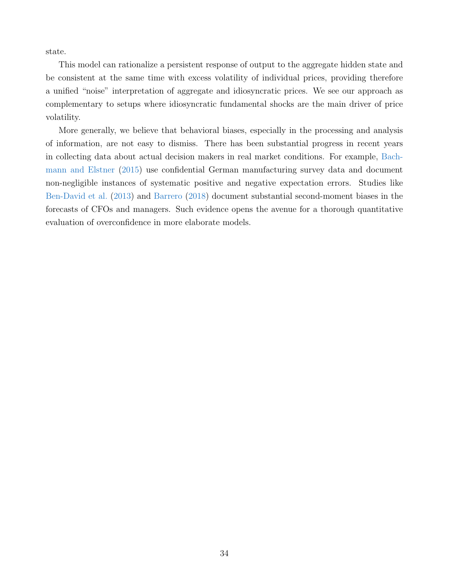state.

This model can rationalize a persistent response of output to the aggregate hidden state and be consistent at the same time with excess volatility of individual prices, providing therefore a unified "noise" interpretation of aggregate and idiosyncratic prices. We see our approach as complementary to setups where idiosyncratic fundamental shocks are the main driver of price volatility.

More generally, we believe that behavioral biases, especially in the processing and analysis of information, are not easy to dismiss. There has been substantial progress in recent years in collecting data about actual decision makers in real market conditions. For example, [Bach](#page-45-12)[mann and Elstner](#page-45-12) [\(2015\)](#page-45-12) use confidential German manufacturing survey data and document non-negligible instances of systematic positive and negative expectation errors. Studies like [Ben-David et al.](#page-45-3) [\(2013\)](#page-45-3) and [Barrero](#page-45-2) [\(2018\)](#page-45-2) document substantial second-moment biases in the forecasts of CFOs and managers. Such evidence opens the avenue for a thorough quantitative evaluation of overconfidence in more elaborate models.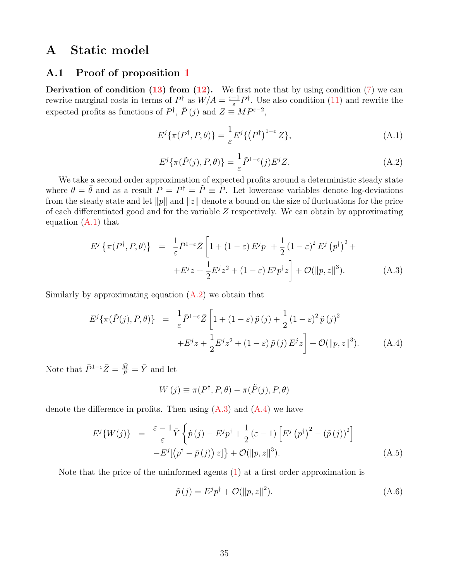# A Static model

### A.1 Proof of proposition [1](#page-9-4)

**Derivation of condition [\(13\)](#page-9-5) from [\(12\)](#page-9-2).** We first note that by using condition [\(7\)](#page-7-0) we can rewrite marginal costs in terms of  $P^{\dagger}$  as  $W/A = \frac{\varepsilon - 1}{\varepsilon}$  $\frac{-1}{\varepsilon}P^{\dagger}$ . Use also condition [\(11\)](#page-9-6) and rewrite the expected profits as functions of  $P^{\dagger}$ ,  $\tilde{P}(j)$  and  $Z \equiv MP^{\varepsilon-2}$ ,

<span id="page-35-0"></span>
$$
E^{j}\{\pi(P^{\dagger}, P, \theta)\} = \frac{1}{\varepsilon}E^{j}\{(P^{\dagger})^{1-\varepsilon}Z\},\tag{A.1}
$$

<span id="page-35-1"></span>
$$
E^{j}\{\pi(\tilde{P}(j), P, \theta)\} = \frac{1}{\varepsilon} \tilde{P}^{1-\varepsilon}(j) E^{j} Z.
$$
 (A.2)

We take a second order approximation of expected profits around a deterministic steady state where  $\theta = \bar{\theta}$  and as a result  $P = P^{\dagger} = \tilde{P} = \bar{P}$ . Let lowercase variables denote log-deviations from the steady state and let  $||p||$  and  $||z||$  denote a bound on the size of fluctuations for the price of each differentiated good and for the variable Z respectively. We can obtain by approximating equation [\(A.1\)](#page-35-0) that

<span id="page-35-2"></span>
$$
E^{j}\left\{\pi(P^{\dagger},P,\theta)\right\} = \frac{1}{\varepsilon}\bar{P}^{1-\varepsilon}\bar{Z}\left[1+(1-\varepsilon)E^{j}p^{\dagger}+\frac{1}{2}\left(1-\varepsilon\right)^{2}E^{j}\left(p^{\dagger}\right)^{2}+\right.
$$

$$
+E^{j}z+\frac{1}{2}E^{j}z^{2}+(1-\varepsilon)E^{j}p^{\dagger}z\right]+{\cal O}(\|p,z\|^{3}).\tag{A.3}
$$

Similarly by approximating equation  $(A.2)$  we obtain that

<span id="page-35-3"></span>
$$
E^{j}\{\pi(\tilde{P}(j), P, \theta)\} = \frac{1}{\varepsilon} \bar{P}^{1-\varepsilon} \bar{Z} \left[1 + (1-\varepsilon)\,\tilde{p}\,(j) + \frac{1}{2}\,(1-\varepsilon)^{2}\,\tilde{p}\,(j)^{2} + E^{j}z + \frac{1}{2}E^{j}z^{2} + (1-\varepsilon)\,\tilde{p}\,(j)\,E^{j}z\right] + \mathcal{O}(\|p, z\|^{3}).\tag{A.4}
$$

Note that  $\bar{P}^{1-\varepsilon}\bar{Z} = \frac{\bar{M}}{\bar{P}} = \bar{Y}$  and let

$$
W(j) \equiv \pi(P^{\dagger}, P, \theta) - \pi(\tilde{P}(j), P, \theta)
$$

denote the difference in profits. Then using  $(A.3)$  and  $(A.4)$  we have

<span id="page-35-5"></span>
$$
E^{j}\lbrace W(j)\rbrace = \frac{\varepsilon - 1}{\varepsilon} \bar{Y} \left\lbrace \tilde{p}(j) - E^{j} p^{\dagger} + \frac{1}{2} (\varepsilon - 1) \left[ E^{j} (p^{\dagger})^{2} - (\tilde{p}(j))^{2} \right] - E^{j} [(p^{\dagger} - \tilde{p}(j)) z] \right\rbrace + \mathcal{O}(\Vert p, z \Vert^{3}).
$$
\n(A.5)

Note that the price of the uninformed agents  $(1)$  at a first order approximation is

<span id="page-35-4"></span>
$$
\tilde{p}(j) = E^{j} p^{\dagger} + \mathcal{O}(\|p, z\|^{2}).
$$
\n(A.6)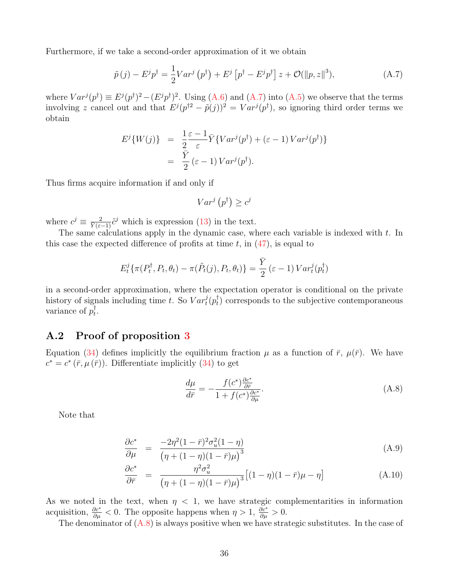Furthermore, if we take a second-order approximation of it we obtain

<span id="page-36-0"></span>
$$
\tilde{p}(j) - E^j p^\dagger = \frac{1}{2} Var^j (p^\dagger) + E^j [p^\dagger - E^j p^\dagger] z + \mathcal{O}(\|p, z\|^3), \tag{A.7}
$$

where  $Var^{j}(p^{\dagger}) \equiv E^{j}(p^{\dagger})^{2} - (E^{j}p^{\dagger})^{2}$ . Using [\(A.6\)](#page-35-4) and [\(A.7\)](#page-36-0) into [\(A.5\)](#page-35-5) we observe that the terms involving z cancel out and that  $E^j(p^{\dagger 2} - \tilde{p}(j))^2 = Var^j(p^{\dagger})$ , so ignoring third order terms we obtain

$$
E^{j}\lbrace W(j) \rbrace = \frac{1}{2} \frac{\varepsilon - 1}{\varepsilon} \bar{Y} \lbrace Var^{j}(p^{\dagger}) + (\varepsilon - 1) Var^{j}(p^{\dagger}) \rbrace
$$
  
= 
$$
\frac{\bar{Y}}{2} (\varepsilon - 1) Var^{j}(p^{\dagger}).
$$

Thus firms acquire information if and only if

$$
Var^j(p^{\dagger}) \ge c^j
$$

where  $c^j \equiv \frac{2}{\tilde{Y}(\varepsilon-1)}\tilde{c}^j$  which is expression [\(13\)](#page-9-5) in the text.

The same calculations apply in the dynamic case, where each variable is indexed with  $t$ . In this case the expected difference of profits at time  $t$ , in  $(47)$ , is equal to

$$
E_t^j\{\pi(P_t^{\dagger}, P_t, \theta_t) - \pi(\tilde{P}_t(j), P_t, \theta_t)\} = \frac{\bar{Y}}{2}(\varepsilon - 1) Var_t^j(p_t^{\dagger})
$$

in a second-order approximation, where the expectation operator is conditional on the private history of signals including time t. So  $Var_t^j(p_t^{\dagger})$  $_{t}^{\dagger}$ ) corresponds to the subjective contemporaneous variance of  $p_t^{\dagger}$  $_t^\intercal$ 

## A.2 Proof of proposition [3](#page-15-1)

Equation [\(34\)](#page-15-0) defines implicitly the equilibrium fraction  $\mu$  as a function of  $\bar{r}$ ,  $\mu(\bar{r})$ . We have  $c^* = c^* (\bar{r}, \mu(\bar{r}))$ . Differentiate implicitly [\(34\)](#page-15-0) to get

<span id="page-36-1"></span>
$$
\frac{d\mu}{d\bar{r}} = -\frac{f(c^*)\frac{\partial c^*}{\partial \bar{r}}}{1 + f(c^*)\frac{\partial c^*}{\partial \mu}}.\tag{A.8}
$$

Note that

<span id="page-36-2"></span>
$$
\frac{\partial c^*}{\partial \mu} = \frac{-2\eta^2 (1 - \bar{r})^2 \sigma_u^2 (1 - \eta)}{(\eta + (1 - \eta)(1 - \bar{r})\mu)^3}
$$
(A.9)

$$
\frac{\partial c^*}{\partial \bar{r}} = \frac{\eta^2 \sigma_u^2}{\left(\eta + (1 - \eta)(1 - \bar{r})\mu\right)^3} \left[ (1 - \eta)(1 - \bar{r})\mu - \eta \right]
$$
(A.10)

As we noted in the text, when  $\eta$  < 1, we have strategic complementarities in information acquisition,  $\frac{\partial c^*}{\partial \mu} < 0$ . The opposite happens when  $\eta > 1$ ,  $\frac{\partial c^*}{\partial \mu} > 0$ .

The denominator of  $(A.8)$  is always positive when we have strategic substitutes. In the case of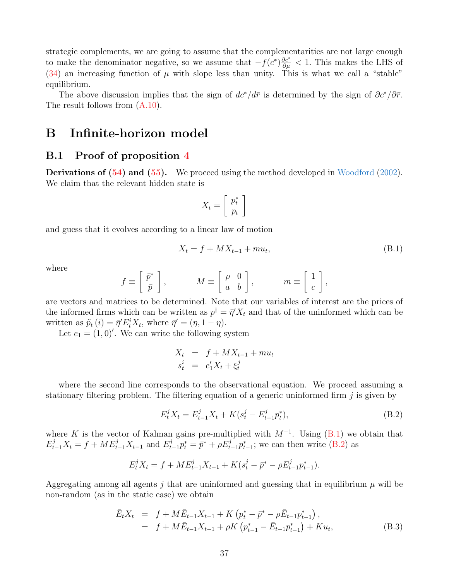strategic complements, we are going to assume that the complementarities are not large enough to make the denominator negative, so we assume that  $-f(c^*)\frac{\partial c^*}{\partial \mu} < 1$ . This makes the LHS of  $(34)$  an increasing function of  $\mu$  with slope less than unity. This is what we call a "stable" equilibrium.

The above discussion implies that the sign of  $dc^*/d\bar{r}$  is determined by the sign of  $\partial c^*/\partial \bar{r}$ . The result follows from  $(A.10)$ .

# B Infinite-horizon model

### B.1 Proof of proposition [4](#page-21-5)

Derivations of [\(54\)](#page-21-6) and [\(55\)](#page-21-7). We proceed using the method developed in [Woodford](#page-48-3) [\(2002\)](#page-48-3). We claim that the relevant hidden state is

$$
X_t = \left[ \begin{array}{c} p_t^* \\ p_t \end{array} \right]
$$

and guess that it evolves according to a linear law of motion

<span id="page-37-0"></span>
$$
X_t = f + MX_{t-1} + mu_t,
$$
 (B.1)

where

$$
f \equiv \begin{bmatrix} \bar{p}^* \\ \bar{p} \end{bmatrix}, \qquad M \equiv \begin{bmatrix} \rho & 0 \\ a & b \end{bmatrix}, \qquad m \equiv \begin{bmatrix} 1 \\ c \end{bmatrix},
$$

are vectors and matrices to be determined. Note that our variables of interest are the prices of the informed firms which can be written as  $p^{\dagger} = \bar{\eta}' X_t$  and that of the uninformed which can be written as  $\tilde{p}_t(i) = \bar{\eta}' E_t^i X_t$ , where  $\bar{\eta}' = (\eta, 1 - \eta)$ .

Let  $e_1 = (1, 0)'$ . We can write the following system

$$
X_t = f + MX_{t-1} + mu_t
$$
  

$$
s_t^i = e'_1X_t + \xi_t^j
$$

where the second line corresponds to the observational equation. We proceed assuming a stationary filtering problem. The filtering equation of a generic uninformed firm  $j$  is given by

<span id="page-37-1"></span>
$$
E_t^j X_t = E_{t-1}^j X_t + K(s_t^j - E_{t-1}^j p_t^*),
$$
\n(B.2)

where K is the vector of Kalman gains pre-multiplied with  $M^{-1}$ . Using  $(B.1)$  we obtain that  $E_{t-1}^j X_t = f + ME_{t-1}^j X_{t-1}$  and  $E_{t-1}^j p_t^* = \bar{p}^* + \rho E_{t-1}^j p_{t-1}^*$ ; we can then write [\(B.2\)](#page-37-1) as

$$
E_t^j X_t = f + ME_{t-1}^j X_{t-1} + K(s_t^j - \bar{p}^* - \rho E_{t-1}^j p_{t-1}^*).
$$

Aggregating among all agents j that are uninformed and guessing that in equilibrium  $\mu$  will be non-random (as in the static case) we obtain

<span id="page-37-2"></span>
$$
\begin{aligned}\n\bar{E}_t X_t &= f + M \bar{E}_{t-1} X_{t-1} + K \left( p_t^* - \bar{p}^* - \rho \bar{E}_{t-1} p_{t-1}^* \right), \\
&= f + M \bar{E}_{t-1} X_{t-1} + \rho K \left( p_{t-1}^* - \bar{E}_{t-1} p_{t-1}^* \right) + K u_t,\n\end{aligned} \tag{B.3}
$$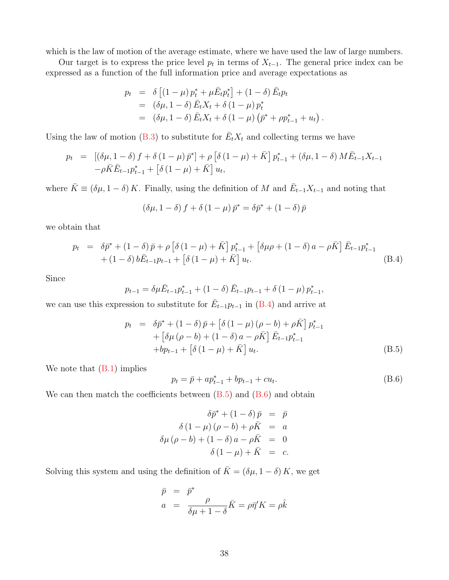which is the law of motion of the average estimate, where we have used the law of large numbers.

Our target is to express the price level  $p_t$  in terms of  $X_{t-1}$ . The general price index can be expressed as a function of the full information price and average expectations as

$$
p_t = \delta \left[ (1 - \mu) p_t^* + \mu \bar{E}_t p_t^* \right] + (1 - \delta) \bar{E}_t p_t
$$
  
=  $(\delta \mu, 1 - \delta) \bar{E}_t X_t + \delta (1 - \mu) p_t^*$   
=  $(\delta \mu, 1 - \delta) \bar{E}_t X_t + \delta (1 - \mu) (\bar{p}^* + \rho p_{t-1}^* + u_t)$ 

Using the law of motion [\(B.3\)](#page-37-2) to substitute for  $\bar{E}_t X_t$  and collecting terms we have

$$
p_{t} = [(\delta\mu, 1 - \delta) f + \delta (1 - \mu) \bar{p}^{*}] + \rho [\delta (1 - \mu) + \bar{K}] p_{t-1}^{*} + (\delta\mu, 1 - \delta) M \bar{E}_{t-1} X_{t-1} - \rho \bar{K} \bar{E}_{t-1} p_{t-1}^{*} + [\delta (1 - \mu) + \bar{K}] u_{t},
$$

where  $\bar{K} \equiv (\delta \mu, 1 - \delta) K$ . Finally, using the definition of M and  $\bar{E}_{t-1} X_{t-1}$  and noting that

$$
\left(\delta\mu,1-\delta\right)f+\delta\left(1-\mu\right)\bar{p}^*=\delta\bar{p}^*+\left(1-\delta\right)\bar{p}
$$

we obtain that

<span id="page-38-0"></span>
$$
p_{t} = \delta \bar{p}^{*} + (1 - \delta) \bar{p} + \rho \left[ \delta (1 - \mu) + \bar{K} \right] p_{t-1}^{*} + \left[ \delta \mu \rho + (1 - \delta) a - \rho \bar{K} \right] \bar{E}_{t-1} p_{t-1}^{*} + (1 - \delta) b \bar{E}_{t-1} p_{t-1} + \left[ \delta (1 - \mu) + \bar{K} \right] u_{t}.
$$
\n(B.4)

Since

$$
p_{t-1} = \delta \mu \bar{E}_{t-1} p_{t-1}^* + (1 - \delta) \bar{E}_{t-1} p_{t-1} + \delta (1 - \mu) p_{t-1}^*
$$

we can use this expression to substitute for  $\bar{E}_{t-1}p_{t-1}$  in [\(B.4\)](#page-38-0) and arrive at

<span id="page-38-1"></span>
$$
p_{t} = \delta \bar{p}^{*} + (1 - \delta) \bar{p} + [\delta (1 - \mu) (\rho - b) + \rho \bar{K}] p_{t-1}^{*} + [\delta \mu (\rho - b) + (1 - \delta) a - \rho \bar{K}] \bar{E}_{t-1} p_{t-1}^{*} + bp_{t-1} + [\delta (1 - \mu) + \bar{K}] u_{t}.
$$
 (B.5)

We note that  $(B.1)$  implies

<span id="page-38-2"></span>
$$
p_t = \bar{p} + ap_{t-1}^* + bp_{t-1} + cu_t.
$$
 (B.6)

.

,

We can then match the coefficients between  $(B.5)$  and  $(B.6)$  and obtain

$$
\delta \bar{p}^* + (1 - \delta) \bar{p} = \bar{p}
$$

$$
\delta (1 - \mu) (\rho - b) + \rho \bar{K} = a
$$

$$
\delta \mu (\rho - b) + (1 - \delta) a - \rho \bar{K} = 0
$$

$$
\delta (1 - \mu) + \bar{K} = c.
$$

Solving this system and using the definition of  $\bar{K} = (\delta \mu, 1 - \delta) K$ , we get

$$
\bar{p} = \bar{p}^*
$$
  
\n
$$
a = \frac{\rho}{\delta \mu + 1 - \delta} \bar{K} = \rho \bar{\eta}' K = \rho \hat{k}
$$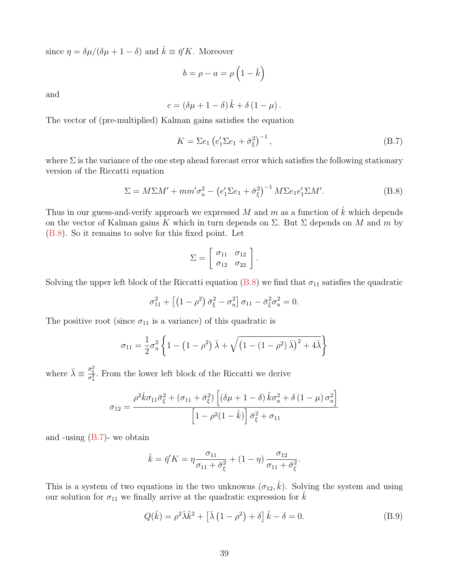since  $\eta = \delta \mu / (\delta \mu + 1 - \delta)$  and  $\hat{k} \equiv \bar{\eta}' K$ . Moreover

$$
b = \rho - a = \rho \left( 1 - \hat{k} \right)
$$

and

$$
c = (\delta \mu + 1 - \delta) \hat{k} + \delta (1 - \mu).
$$

The vector of (pre-multiplied) Kalman gains satisfies the equation

<span id="page-39-1"></span>
$$
K = \sum e_1 \left( e_1' \sum e_1 + \bar{\sigma}_{\xi}^2 \right)^{-1},\tag{B.7}
$$

where  $\Sigma$  is the variance of the one step ahead forecast error which satisfies the following stationary version of the Riccatti equation

<span id="page-39-0"></span>
$$
\Sigma = M\Sigma M' + mm'\sigma_u^2 - \left(e_1'\Sigma e_1 + \bar{\sigma}_\xi^2\right)^{-1} M\Sigma e_1 e_1'\Sigma M'.\tag{B.8}
$$

Thus in our guess-and-verify approach we expressed  $M$  and  $m$  as a function of  $\hat{k}$  which depends on the vector of Kalman gains K which in turn depends on  $\Sigma$ . But  $\Sigma$  depends on M and m by [\(B.8\)](#page-39-0). So it remains to solve for this fixed point. Let

$$
\Sigma = \left[ \begin{array}{cc} \sigma_{11} & \sigma_{12} \\ \sigma_{12} & \sigma_{22} \end{array} \right].
$$

Solving the upper left block of the Riccatti equation [\(B.8\)](#page-39-0) we find that  $\sigma_{11}$  satisfies the quadratic

$$
\sigma_{11}^2 + \left[ \left( 1 - \rho^2 \right) \bar{\sigma}_{\xi}^2 - \sigma_u^2 \right] \sigma_{11} - \bar{\sigma}_{\xi}^2 \sigma_u^2 = 0.
$$

The positive root (since  $\sigma_{11}$  is a variance) of this quadratic is

$$
\sigma_{11} = \frac{1}{2} \sigma_u^2 \left\{ 1 - \left( 1 - \rho^2 \right) \bar{\lambda} + \sqrt{\left( 1 - \left( 1 - \rho^2 \right) \bar{\lambda} \right)^2 + 4 \bar{\lambda}} \right\}
$$

where  $\bar{\lambda} \equiv \frac{\bar{\sigma}_{\xi}^2}{\sigma_u^2}$ . From the lower left block of the Riccatti we derive

$$
\sigma_{12} = \frac{\rho^2 \hat{k} \sigma_{11} \bar{\sigma}_{\xi}^2 + (\sigma_{11} + \bar{\sigma}_{\xi}^2) \left[ (\delta \mu + 1 - \delta) \hat{k} \sigma_u^2 + \delta (1 - \mu) \sigma_u^2 \right]}{\left[ 1 - \rho^2 (1 - \hat{k}) \right] \bar{\sigma}_{\xi}^2 + \sigma_{11}}
$$

and -using  $(B.7)$ - we obtain

$$
\hat{k} = \bar{\eta}' K = \eta \frac{\sigma_{11}}{\sigma_{11} + \bar{\sigma}_{\xi}^2} + (1 - \eta) \frac{\sigma_{12}}{\sigma_{11} + \bar{\sigma}_{\xi}^2}.
$$

This is a system of two equations in the two unknowns  $(\sigma_{12}, \hat{k})$ . Solving the system and using our solution for  $\sigma_{11}$  we finally arrive at the quadratic expression for  $\hat{k}$ 

<span id="page-39-2"></span>
$$
Q(\hat{k}) = \rho^2 \bar{\lambda} \hat{k}^2 + \left[\bar{\lambda} \left(1 - \rho^2\right) + \delta\right] \hat{k} - \delta = 0. \tag{B.9}
$$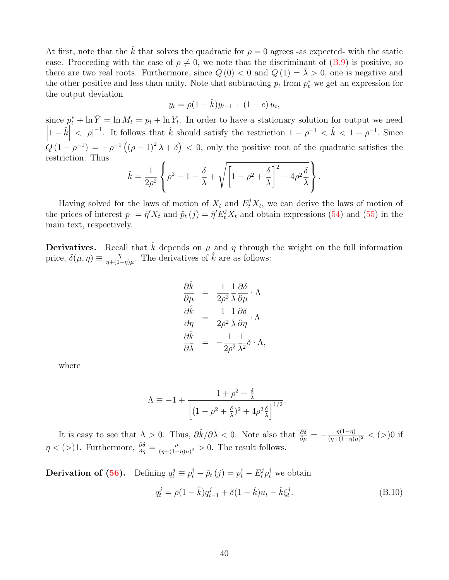At first, note that the  $\tilde{k}$  that solves the quadratic for  $\rho = 0$  agrees -as expected- with the static case. Proceeding with the case of  $\rho \neq 0$ , we note that the discriminant of [\(B.9\)](#page-39-2) is positive, so there are two real roots. Furthermore, since  $Q(0) < 0$  and  $Q(1) = \overline{\lambda} > 0$ , one is negative and the other positive and less than unity. Note that subtracting  $p_t$  from  $p_t^*$  we get an expression for the output deviation

$$
y_t = \rho(1 - \hat{k})y_{t-1} + (1 - c)u_t,
$$

since  $p_t^* + \ln \bar{Y} = \ln M_t = p_t + \ln Y_t$ . In order to have a stationary solution for output we need  $\begin{array}{c} \hline \end{array}$  $\left|1-\hat{k}\right|$  $<|\rho|^{-1}$ . It follows that  $\hat{k}$  should satisfy the restriction  $1-\rho^{-1} < \hat{k} < 1+\rho^{-1}$ . Since  $Q(1-\rho^{-1}) = -\rho^{-1}((\rho-1)^2 \lambda + \delta) < 0$ , only the positive root of the quadratic satisfies the restriction. Thus

$$
\hat{k} = \frac{1}{2\rho^2} \left\{ \rho^2 - 1 - \frac{\delta}{\bar{\lambda}} + \sqrt{\left[1 - \rho^2 + \frac{\delta}{\bar{\lambda}}\right]^2 + 4\rho^2 \frac{\delta}{\bar{\lambda}}} \right\}.
$$

Having solved for the laws of motion of  $X_t$  and  $E_t^j X_t$ , we can derive the laws of motion of the prices of interest  $p^{\dagger} = \bar{\eta}' X_t$  and  $\tilde{p}_t(j) = \bar{\eta}' E_t^j X_t$  and obtain expressions [\(54\)](#page-21-6) and [\(55\)](#page-21-7) in the main text, respectively.

**Derivatives.** Recall that k depends on  $\mu$  and  $\eta$  through the weight on the full information price,  $\delta(\mu, \eta) \equiv \frac{\eta}{n+1}$  $\frac{\eta}{\eta+(1-\eta)\mu}$ . The derivatives of  $\hat{k}$  are as follows:

$$
\frac{\partial \hat{k}}{\partial \mu} = \frac{1}{2\rho^2} \frac{1}{\overline{\lambda}} \frac{\partial \delta}{\partial \mu} \cdot \Lambda
$$

$$
\frac{\partial \hat{k}}{\partial \eta} = \frac{1}{2\rho^2} \frac{1}{\overline{\lambda}} \frac{\partial \delta}{\partial \eta} \cdot \Lambda
$$

$$
\frac{\partial \hat{k}}{\partial \overline{\lambda}} = -\frac{1}{2\rho^2} \frac{1}{\overline{\lambda}^2} \delta \cdot \Lambda,
$$

where

$$
\Lambda \equiv -1 + \frac{1 + \rho^{2} + \frac{\delta}{\lambda}}{\left[ (1 - \rho^{2} + \frac{\delta}{\lambda})^{2} + 4\rho^{2} \frac{\delta}{\lambda} \right]^{1/2}}.
$$

It is easy to see that  $\Lambda > 0$ . Thus,  $\partial \hat{k}/\partial \bar{\lambda} < 0$ . Note also that  $\frac{\partial \delta}{\partial \mu} = -\frac{\eta(1-\eta)}{(\eta + (1-\eta))}$  $\frac{\eta(1-\eta)}{(\eta+(1-\eta)\mu)^2} < (>)0$  if  $\eta < (>)1$ . Furthermore,  $\frac{\partial \delta}{\partial \eta} = \frac{\mu}{(\eta + (1-\mu))}$  $\frac{\mu}{(\eta + (1-\eta)\mu)^2} > 0$ . The result follows.

**Derivation of [\(56\)](#page-21-2).** Defining  $q_t^j \equiv p_t^{\dagger} - \tilde{p}_t(j) = p_t^{\dagger} - E_t^j p_t^{\dagger}$  we obtain

<span id="page-40-0"></span>
$$
q_t^j = \rho (1 - \hat{k}) q_{t-1}^j + \delta (1 - \hat{k}) u_t - \hat{k} \xi_t^j.
$$
 (B.10)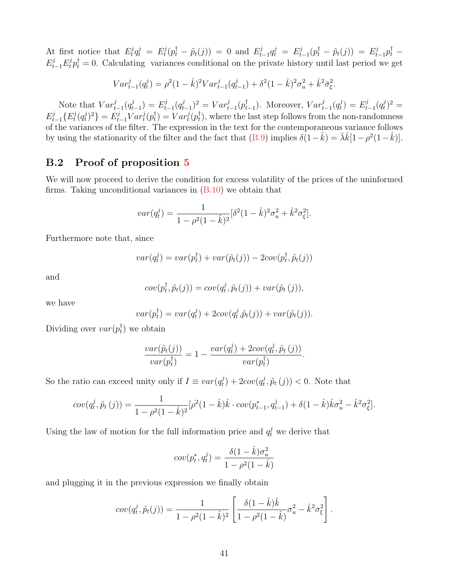At first notice that  $E_t^j$  $t^j q_t^j = E_t^j$  $t^j(t^{\dagger}_t - \tilde{p}_t(j)) = 0$  and  $E^j_t$  $\frac{d}{dt} \frac{d}{dt} = E_t^j$  $t_{t-1}(p_t^{\dagger} - \tilde{p}_t(j)) = E_{t-1}^{j} p_t^{\dagger} E_{t-1}^{j}E_{t}^{j}p_{t}^{\dagger}=0$ . Calculating variances conditional on the private history until last period we get

$$
Var_{t-1}^{j}(q_t^j) = \rho^2 (1 - \hat{k})^2 Var_{t-1}^{j}(q_{t-1}^j) + \delta^2 (1 - \hat{k})^2 \sigma_u^2 + \hat{k}^2 \bar{\sigma}_{\xi}^2.
$$

Note that  $Var_{t-1}^{j}(q_t^j)$  $(t_{t-1}^j) = E_t^j$  $_{t-1}^{j}(q_t^j$  $(t_{t-1})^2 = Var_{t-1}^j(p_t^{\dagger})$  $(t_{t-1})$ . Moreover,  $Var_{t-1}^j(q_t^j)$  $\binom{d}{t} = E_t^j$  $_{t-1}^{j}(q_t^j$  $j_t^j)^2 =$  $E_{t-1}^j\{E_t^j$  $\frac{d}{dt} (q^j_t$  $\{(\vec{r}_t)^2\} = E_{t-1}^j Var_t^j(p_t^{\dagger})$  $t^{\dagger}_t$ ) =  $Var_t^j(p_t^{\dagger})$  $_{t}^{\dagger}$ ), where the last step follows from the non-randomness of the variances of the filter. The expression in the text for the contemporaneous variance follows by using the stationarity of the filter and the fact that  $(B.9)$  implies  $\delta(1-\hat{k}) = \bar{\lambda}\hat{k}[1-\rho^2(1-\hat{k})]$ .

# B.2 Proof of proposition [5](#page-22-1)

We will now proceed to derive the condition for excess volatility of the prices of the uninformed firms. Taking unconditional variances in  $(B.10)$  we obtain that

$$
var(q_t^j) = \frac{1}{1 - \rho^2 (1 - \hat{k})^2} [\delta^2 (1 - \hat{k})^2 \sigma_u^2 + \hat{k}^2 \sigma_{\xi}^2].
$$

Furthermore note that, since

$$
var(q_t^j) = var(p_t^{\dagger}) + var(\tilde{p}_t(j)) - 2cov(p_t^{\dagger}, \tilde{p}_t(j))
$$

and

$$
cov(p_t^{\dagger}, \tilde{p}_t(j)) = cov(q_t^j, \tilde{p}_t(j)) + var(\tilde{p}_t(j)),
$$

we have

$$
var(p_t^{\dagger}) = var(q_t^j) + 2cov(q_t^j, \tilde{p}_t(j)) + var(\tilde{p}_t(j)).
$$

Dividing over  $var(p_t^{\dagger})$  $_{t}^{T}$ ) we obtain

$$
\frac{var(\tilde{p}_t(j))}{var(p_t^{\dagger})} = 1 - \frac{var(q_t^j) + 2cov(q_t^j, \tilde{p}_t(j))}{var(p_t^{\dagger})}.
$$

So the ratio can exceed unity only if  $I \equiv var(q_t^j)$  $(t_t^j) + 2cov(q_t^j)$  $(t_i^j, \tilde{p}_t(j))$  < 0. Note that

$$
cov(q_t^j, \tilde{p}_t(j)) = \frac{1}{1 - \rho^2 (1 - \hat{k})^2} [\rho^2 (1 - \hat{k}) \hat{k} \cdot cov(p_{t-1}^*, q_{t-1}^j) + \delta (1 - \hat{k}) \hat{k} \sigma_u^2 - \hat{k}^2 \sigma_{\xi}^2].
$$

Using the law of motion for the full information price and  $q_t^j$  we derive that

$$
cov(p_t^*, q_t^j) = \frac{\delta(1 - \hat{k})\sigma_u^2}{1 - \rho^2(1 - \hat{k})}
$$

and plugging it in the previous expression we finally obtain

$$
cov(q_t^j, \tilde{p}_t(j)) = \frac{1}{1 - \rho^2 (1 - \hat{k})^2} \left[ \frac{\delta(1 - \hat{k}) \hat{k}}{1 - \rho^2 (1 - \hat{k})} \sigma_u^2 - \hat{k}^2 \sigma_{\xi}^2 \right].
$$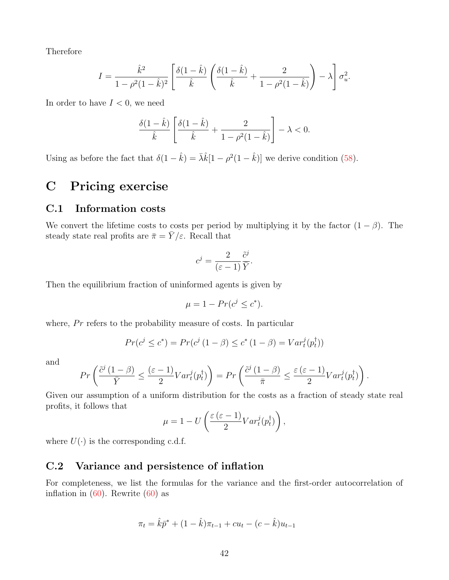Therefore

$$
I = \frac{\hat{k}^2}{1 - \rho^2 (1 - \hat{k})^2} \left[ \frac{\delta (1 - \hat{k})}{\hat{k}} \left( \frac{\delta (1 - \hat{k})}{\hat{k}} + \frac{2}{1 - \rho^2 (1 - \hat{k})} \right) - \lambda \right] \sigma_u^2.
$$

In order to have  $I < 0$ , we need

$$
\frac{\delta(1-\hat{k})}{\hat{k}}\left[\frac{\delta(1-\hat{k})}{\hat{k}}+\frac{2}{1-\rho^2(1-\hat{k})}\right]-\lambda<0.
$$

Using as before the fact that  $\delta(1 - \hat{k}) = \bar{\lambda}\hat{k}[1 - \rho^2(1 - \hat{k})]$  we derive condition [\(58\)](#page-22-2).

# C Pricing exercise

## C.1 Information costs

We convert the lifetime costs to costs per period by multiplying it by the factor  $(1 - \beta)$ . The steady state real profits are  $\bar{\pi} = \bar{Y}/\varepsilon$ . Recall that

$$
c^j = \frac{2}{(\varepsilon - 1)} \frac{\tilde{c}^j}{\bar{Y}}.
$$

Then the equilibrium fraction of uninformed agents is given by

$$
\mu = 1 - Pr(c^j \le c^*).
$$

where,  $Pr$  refers to the probability measure of costs. In particular

$$
Pr(c^{j} \le c^{*}) = Pr(c^{j} (1 - \beta) \le c^{*} (1 - \beta) = Var_{t}^{j}(p_{t}^{{\dagger}}))
$$

and

$$
Pr\left(\frac{\tilde{c}^j(1-\beta)}{\bar{Y}} \le \frac{(\varepsilon-1)}{2}Var_t^j(p_t^{\dagger})\right) = Pr\left(\frac{\tilde{c}^j(1-\beta)}{\bar{\pi}} \le \frac{\varepsilon(\varepsilon-1)}{2}Var_t^j(p_t^{\dagger})\right).
$$

Given our assumption of a uniform distribution for the costs as a fraction of steady state real profits, it follows that

$$
\mu = 1 - U\left(\frac{\varepsilon(\varepsilon - 1)}{2}Var_t^j(p_t^{\dagger})\right),\,
$$

where  $U(\cdot)$  is the corresponding c.d.f.

#### C.2 Variance and persistence of inflation

For completeness, we list the formulas for the variance and the first-order autocorrelation of inflation in  $(60)$ . Rewrite  $(60)$  as

$$
\pi_t = \hat{k}\bar{p}^* + (1 - \hat{k})\pi_{t-1} + cu_t - (c - \hat{k})u_{t-1}
$$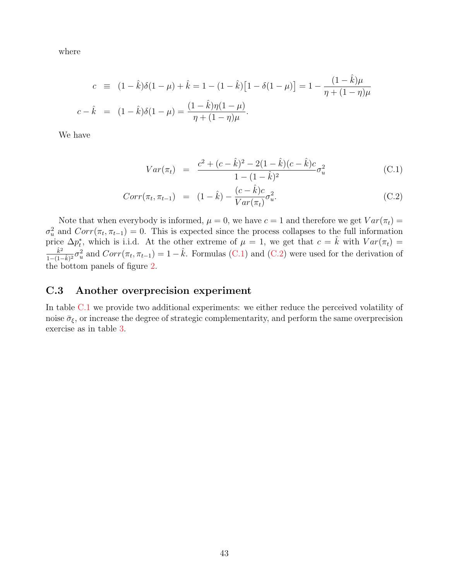where

$$
c = (1 - \hat{k})\delta(1 - \mu) + \hat{k} = 1 - (1 - \hat{k})[1 - \delta(1 - \mu)] = 1 - \frac{(1 - \hat{k})\mu}{\eta + (1 - \eta)\mu}
$$
  

$$
c - \hat{k} = (1 - \hat{k})\delta(1 - \mu) = \frac{(1 - \hat{k})\eta(1 - \mu)}{\eta + (1 - \eta)\mu}.
$$

We have

<span id="page-43-0"></span>
$$
Var(\pi_t) = \frac{c^2 + (c - \hat{k})^2 - 2(1 - \hat{k})(c - \hat{k})c}{1 - (1 - \hat{k})^2} \sigma_u^2
$$
 (C.1)

$$
Corr(\pi_t, \pi_{t-1}) = (1 - \hat{k}) - \frac{(c - \hat{k})c}{Var(\pi_t)} \sigma_u^2.
$$
 (C.2)

Note that when everybody is informed,  $\mu = 0$ , we have  $c = 1$  and therefore we get  $Var(\pi_t) =$  $\sigma_u^2$  and  $Corr(\pi_t, \pi_{t-1}) = 0$ . This is expected since the process collapses to the full information price  $\Delta p_t^*$ , which is i.i.d. At the other extreme of  $\mu = 1$ , we get that  $c = \hat{k}$  with  $Var(\pi_t) =$  $\hat{k}^2$  $\frac{\hat{k}^2}{1-(1-\hat{k})^2}\sigma_u^2$  and  $Corr(\pi_t, \pi_{t-1}) = 1-\hat{k}$ . Formulas [\(C.1\)](#page-43-0) and [\(C.2\)](#page-43-0) were used for the derivation of the bottom panels of figure [2.](#page-26-1)

## C.3 Another overprecision experiment

In table [C.1](#page-44-0) we provide two additional experiments: we either reduce the perceived volatility of noise  $\bar{\sigma}_{\xi}$ , or increase the degree of strategic complementarity, and perform the same overprecision exercise as in table [3.](#page-28-0)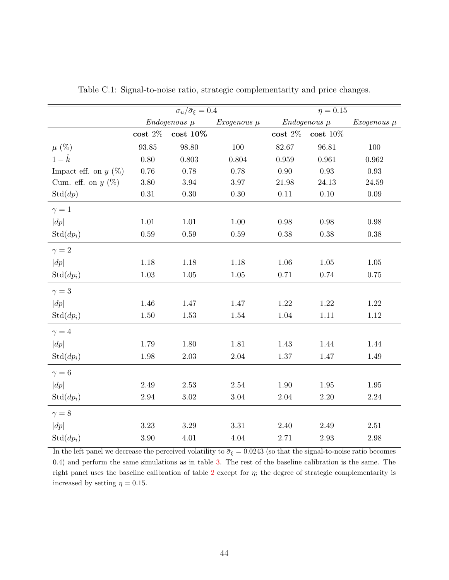|                        | $\overline{\sigma_u/\bar{\sigma}_{\xi}}=0.4$ |                 |                 | $\overline{\eta} = 0.15$ |              |                 |  |
|------------------------|----------------------------------------------|-----------------|-----------------|--------------------------|--------------|-----------------|--|
|                        | $Endogenous~\mu$                             |                 | $Exogenous \mu$ | $Endogenous~\mu$         |              | $Exogenous \mu$ |  |
|                        | $\textbf{cost}$ 2%                           | $\cos t$ $10\%$ |                 | $\textbf{cost}$ 2%       | $\cos t$ 10% |                 |  |
| $\mu$ (%)              | $\boldsymbol{93.85}$                         | 98.80           | 100             | 82.67                    | 96.81        | 100             |  |
| $1-\hat{k}$            | $0.80\,$                                     | 0.803           | 0.804           | 0.959                    | 0.961        | 0.962           |  |
| Impact eff. on $y(\%)$ | 0.76                                         | 0.78            | 0.78            | 0.90                     | 0.93         | 0.93            |  |
| Cum. eff. on $y(\%)$   | 3.80                                         | $\!.94$         | $3.97\,$        | 21.98                    | 24.13        | $24.59\,$       |  |
| Std(dp)                | $0.31\,$                                     | $0.30\,$        | $0.30\,$        | 0.11                     | 0.10         | 0.09            |  |
| $\gamma=1$             |                                              |                 |                 |                          |              |                 |  |
| dp                     | 1.01                                         | $1.01\,$        | $1.00\,$        | $0.98\,$                 | 0.98         | $0.98\,$        |  |
| $Std(dp_i)$            | $0.59\,$                                     | $0.59\,$        | $0.59\,$        | $0.38\,$                 | 0.38         | $0.38\,$        |  |
| $\gamma = 2$           |                                              |                 |                 |                          |              |                 |  |
| dp                     | 1.18                                         | 1.18            | 1.18            | $1.06\,$                 | 1.05         | 1.05            |  |
| $Std(dp_i)$            | $1.03\,$                                     | $1.05\,$        | $1.05\,$        | 0.71                     | 0.74         | $0.75\,$        |  |
| $\gamma=3$             |                                              |                 |                 |                          |              |                 |  |
| dp                     | 1.46                                         | $1.47\,$        | 1.47            | $1.22\,$                 | $1.22\,$     | $1.22\,$        |  |
| $Std(dp_i)$            | 1.50                                         | $1.53\,$        | 1.54            | $1.04\,$                 | 1.11         | 1.12            |  |
| $\gamma = 4$           |                                              |                 |                 |                          |              |                 |  |
| dp                     | 1.79                                         | 1.80            | $1.81\,$        | 1.43                     | 1.44         | 1.44            |  |
| $Std(dp_i)$            | $1.98\,$                                     | $2.03\,$        | $2.04\,$        | $1.37\,$                 | 1.47         | 1.49            |  |
| $\gamma = 6$           |                                              |                 |                 |                          |              |                 |  |
| dp                     | $2.49\,$                                     | $2.53\,$        | $2.54\,$        | $1.90\,$                 | $1.95\,$     | $1.95\,$        |  |
| $\mathrm{Std}(dp_i)$   | 2.94                                         | $3.02\,$        | $3.04\,$        | $2.04\,$                 | 2.20         | $2.24\,$        |  |
| $\gamma = 8$           |                                              |                 |                 |                          |              |                 |  |
| dp                     | $3.23\,$                                     | $3.29\,$        | $3.31\,$        | 2.40                     | $2.49\,$     | $2.51\,$        |  |
| $Std(dp_i)$            | $3.90\,$                                     | $4.01\,$        | $4.04\,$        | 2.71                     | $2.93\,$     | $2.98\,$        |  |

<span id="page-44-0"></span>Table C.1: Signal-to-noise ratio, strategic complementarity and price changes.

In the left panel we decrease the perceived volatility to  $\bar{\sigma}_{\xi} = 0.0243$  (so that the signal-to-noise ratio becomes 0.4) and perform the same simulations as in table [3.](#page-28-0) The rest of the baseline calibration is the same. The right panel uses the baseline calibration of table [2](#page-23-3) except for  $\eta$ ; the degree of strategic complementarity is increased by setting  $\eta = 0.15$ .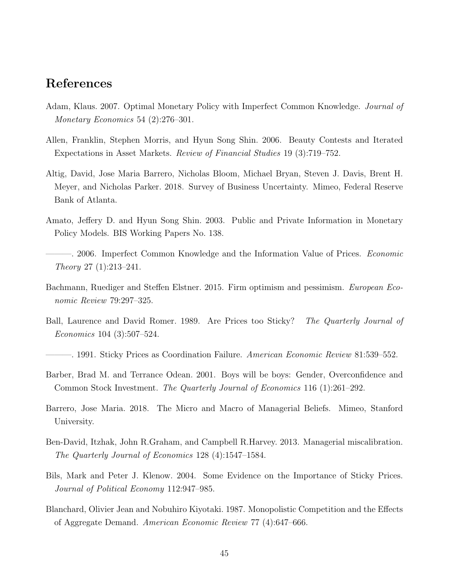# References

- <span id="page-45-1"></span>Adam, Klaus. 2007. Optimal Monetary Policy with Imperfect Common Knowledge. Journal of Monetary Economics 54 (2):276–301.
- <span id="page-45-8"></span>Allen, Franklin, Stephen Morris, and Hyun Song Shin. 2006. Beauty Contests and Iterated Expectations in Asset Markets. Review of Financial Studies 19 (3):719–752.
- <span id="page-45-4"></span>Altig, David, Jose Maria Barrero, Nicholas Bloom, Michael Bryan, Steven J. Davis, Brent H. Meyer, and Nicholas Parker. 2018. Survey of Business Uncertainty. Mimeo, Federal Reserve Bank of Atlanta.
- <span id="page-45-9"></span>Amato, Jeffery D. and Hyun Song Shin. 2003. Public and Private Information in Monetary Policy Models. BIS Working Papers No. 138.
- <span id="page-45-10"></span>– 2006. Imperfect Common Knowledge and the Information Value of Prices. *Economic* Theory 27 (1):213–241.
- <span id="page-45-12"></span>Bachmann, Ruediger and Steffen Elstner. 2015. Firm optimism and pessimism. European Economic Review 79:297–325.
- <span id="page-45-5"></span>Ball, Laurence and David Romer. 1989. Are Prices too Sticky? The Quarterly Journal of Economics 104 (3):507–524.
- <span id="page-45-6"></span>–. 1991. Sticky Prices as Coordination Failure. *American Economic Review* 81:539–552.
- <span id="page-45-0"></span>Barber, Brad M. and Terrance Odean. 2001. Boys will be boys: Gender, Overconfidence and Common Stock Investment. The Quarterly Journal of Economics 116 (1):261–292.
- <span id="page-45-2"></span>Barrero, Jose Maria. 2018. The Micro and Macro of Managerial Beliefs. Mimeo, Stanford University.
- <span id="page-45-3"></span>Ben-David, Itzhak, John R.Graham, and Campbell R.Harvey. 2013. Managerial miscalibration. The Quarterly Journal of Economics 128 (4):1547–1584.
- <span id="page-45-11"></span>Bils, Mark and Peter J. Klenow. 2004. Some Evidence on the Importance of Sticky Prices. Journal of Political Economy 112:947–985.
- <span id="page-45-7"></span>Blanchard, Olivier Jean and Nobuhiro Kiyotaki. 1987. Monopolistic Competition and the Effects of Aggregate Demand. American Economic Review 77 (4):647–666.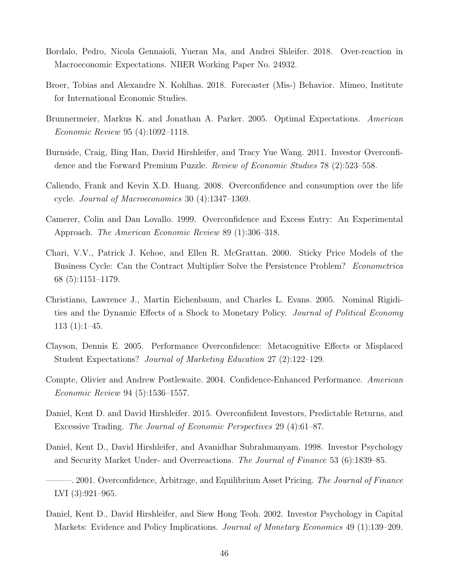- <span id="page-46-10"></span>Bordalo, Pedro, Nicola Gennaioli, Yueran Ma, and Andrei Shleifer. 2018. Over-reaction in Macroeconomic Expectations. NBER Working Paper No. 24932.
- <span id="page-46-11"></span>Broer, Tobias and Alexandre N. Kohlhas. 2018. Forecaster (Mis-) Behavior. Mimeo, Institute for International Economic Studies.
- <span id="page-46-3"></span>Brunnermeier, Markus K. and Jonathan A. Parker. 2005. Optimal Expectations. American Economic Review 95 (4):1092–1118.
- <span id="page-46-2"></span>Burnside, Craig, Bing Han, David Hirshleifer, and Tracy Yue Wang. 2011. Investor Overconfidence and the Forward Premium Puzzle. Review of Economic Studies 78 (2):523–558.
- <span id="page-46-9"></span>Caliendo, Frank and Kevin X.D. Huang. 2008. Overconfidence and consumption over the life cycle. Journal of Macroeconomics 30 (4):1347–1369.
- <span id="page-46-7"></span>Camerer, Colin and Dan Lovallo. 1999. Overconfidence and Excess Entry: An Experimental Approach. The American Economic Review 89 (1):306–318.
- <span id="page-46-12"></span>Chari, V.V., Patrick J. Kehoe, and Ellen R. McGrattan. 2000. Sticky Price Models of the Business Cycle: Can the Contract Multiplier Solve the Persistence Problem? Econometrica 68 (5):1151–1179.
- <span id="page-46-13"></span>Christiano, Lawrence J., Martin Eichenbaum, and Charles L. Evans. 2005. Nominal Rigidities and the Dynamic Effects of a Shock to Monetary Policy. Journal of Political Economy 113 (1):1–45.
- <span id="page-46-4"></span>Clayson, Dennis E. 2005. Performance Overconfidence: Metacognitive Effects or Misplaced Student Expectations? Journal of Marketing Education 27 (2):122–129.
- <span id="page-46-8"></span>Compte, Olivier and Andrew Postlewaite. 2004. Confidence-Enhanced Performance. American Economic Review 94 (5):1536–1557.
- <span id="page-46-6"></span>Daniel, Kent D. and David Hirshleifer. 2015. Overconfident Investors, Predictable Returns, and Excessive Trading. The Journal of Economic Perspectives 29 (4):61–87.
- <span id="page-46-0"></span>Daniel, Kent D., David Hirshleifer, and Avanidhar Subrahmanyam. 1998. Investor Psychology and Security Market Under- and Overreactions. The Journal of Finance 53 (6):1839–85.
- <span id="page-46-1"></span> $-$ , 2001. Overconfidence, Arbitrage, and Equilibrium Asset Pricing. The Journal of Finance LVI (3):921–965.
- <span id="page-46-5"></span>Daniel, Kent D., David Hirshleifer, and Siew Hong Teoh. 2002. Investor Psychology in Capital Markets: Evidence and Policy Implications. *Journal of Monetary Economics* 49 (1):139–209.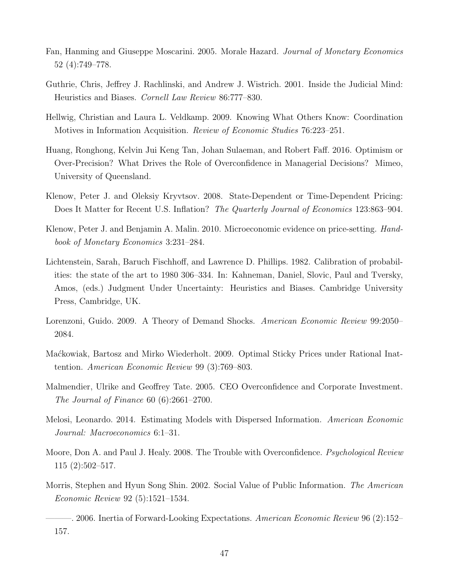- <span id="page-47-10"></span>Fan, Hanming and Giuseppe Moscarini. 2005. Morale Hazard. Journal of Monetary Economics 52 (4):749–778.
- <span id="page-47-7"></span>Guthrie, Chris, Jeffrey J. Rachlinski, and Andrew J. Wistrich. 2001. Inside the Judicial Mind: Heuristics and Biases. Cornell Law Review 86:777–830.
- <span id="page-47-4"></span>Hellwig, Christian and Laura L. Veldkamp. 2009. Knowing What Others Know: Coordination Motives in Information Acquisition. Review of Economic Studies 76:223–251.
- <span id="page-47-11"></span>Huang, Ronghong, Kelvin Jui Keng Tan, Johan Sulaeman, and Robert Faff. 2016. Optimism or Over-Precision? What Drives the Role of Overconfidence in Managerial Decisions? Mimeo, University of Queensland.
- <span id="page-47-0"></span>Klenow, Peter J. and Oleksiy Kryvtsov. 2008. State-Dependent or Time-Dependent Pricing: Does It Matter for Recent U.S. Inflation? The Quarterly Journal of Economics 123:863-904.
- <span id="page-47-13"></span>Klenow, Peter J. and Benjamin A. Malin. 2010. Microeconomic evidence on price-setting. Handbook of Monetary Economics 3:231–284.
- <span id="page-47-8"></span>Lichtenstein, Sarah, Baruch Fischhoff, and Lawrence D. Phillips. 1982. Calibration of probabilities: the state of the art to 1980 306–334. In: Kahneman, Daniel, Slovic, Paul and Tversky, Amos, (eds.) Judgment Under Uncertainty: Heuristics and Biases. Cambridge University Press, Cambridge, UK.
- <span id="page-47-1"></span>Lorenzoni, Guido. 2009. A Theory of Demand Shocks. American Economic Review 99:2050– 2084.
- <span id="page-47-5"></span>Ma´ckowiak, Bartosz and Mirko Wiederholt. 2009. Optimal Sticky Prices under Rational Inattention. American Economic Review 99 (3):769–803.
- <span id="page-47-9"></span>Malmendier, Ulrike and Geoffrey Tate. 2005. CEO Overconfidence and Corporate Investment. The Journal of Finance 60 (6):2661–2700.
- <span id="page-47-2"></span>Melosi, Leonardo. 2014. Estimating Models with Dispersed Information. American Economic Journal: Macroeconomics 6:1–31.
- <span id="page-47-6"></span>Moore, Don A. and Paul J. Healy. 2008. The Trouble with Overconfidence. *Psychological Review* 115 (2):502–517.
- <span id="page-47-12"></span>Morris, Stephen and Hyun Song Shin. 2002. Social Value of Public Information. The American Economic Review 92 (5):1521–1534.

<span id="page-47-3"></span> $-$ . 2006. Inertia of Forward-Looking Expectations. American Economic Review 96 (2):152– 157.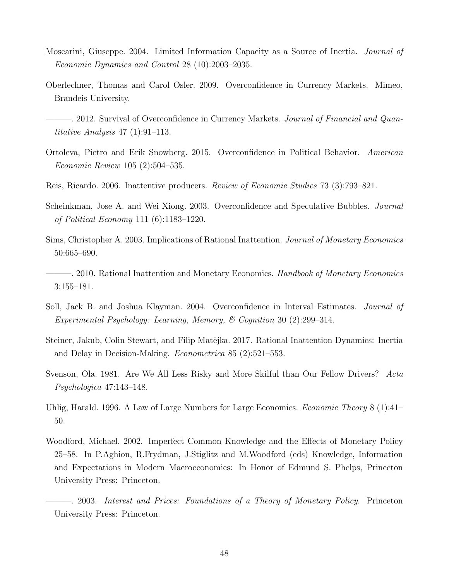- <span id="page-48-5"></span>Moscarini, Giuseppe. 2004. Limited Information Capacity as a Source of Inertia. Journal of Economic Dynamics and Control 28 (10):2003–2035.
- <span id="page-48-0"></span>Oberlechner, Thomas and Carol Osler. 2009. Overconfidence in Currency Markets. Mimeo, Brandeis University.
- <span id="page-48-1"></span>-. 2012. Survival of Overconfidence in Currency Markets. *Journal of Financial and Quan*titative Analysis 47 (1):91–113.
- <span id="page-48-2"></span>Ortoleva, Pietro and Erik Snowberg. 2015. Overconfidence in Political Behavior. American Economic Review 105 (2):504–535.
- <span id="page-48-6"></span>Reis, Ricardo. 2006. Inattentive producers. Review of Economic Studies 73 (3):793–821.
- <span id="page-48-11"></span>Scheinkman, Jose A. and Wei Xiong. 2003. Overconfidence and Speculative Bubbles. Journal of Political Economy 111 (6):1183–1220.
- <span id="page-48-4"></span>Sims, Christopher A. 2003. Implications of Rational Inattention. Journal of Monetary Economics 50:665–690.
- <span id="page-48-8"></span>– 2010. Rational Inattention and Monetary Economics. Handbook of Monetary Economics 3:155–181.
- <span id="page-48-10"></span>Soll, Jack B. and Joshua Klayman. 2004. Overconfidence in Interval Estimates. Journal of Experimental Psychology: Learning, Memory, & Cognition 30 (2):299–314.
- <span id="page-48-7"></span>Steiner, Jakub, Colin Stewart, and Filip Matějka. 2017. Rational Inattention Dynamics: Inertia and Delay in Decision-Making. Econometrica 85 (2):521–553.
- <span id="page-48-9"></span>Svenson, Ola. 1981. Are We All Less Risky and More Skilful than Our Fellow Drivers? Acta Psychologica 47:143–148.
- <span id="page-48-13"></span>Uhlig, Harald. 1996. A Law of Large Numbers for Large Economies. *Economic Theory* 8 (1):41– 50.
- <span id="page-48-3"></span>Woodford, Michael. 2002. Imperfect Common Knowledge and the Effects of Monetary Policy 25–58. In P.Aghion, R.Frydman, J.Stiglitz and M.Woodford (eds) Knowledge, Information and Expectations in Modern Macroeconomics: In Honor of Edmund S. Phelps, Princeton University Press: Princeton.
- <span id="page-48-12"></span>———. 2003. Interest and Prices: Foundations of a Theory of Monetary Policy. Princeton University Press: Princeton.